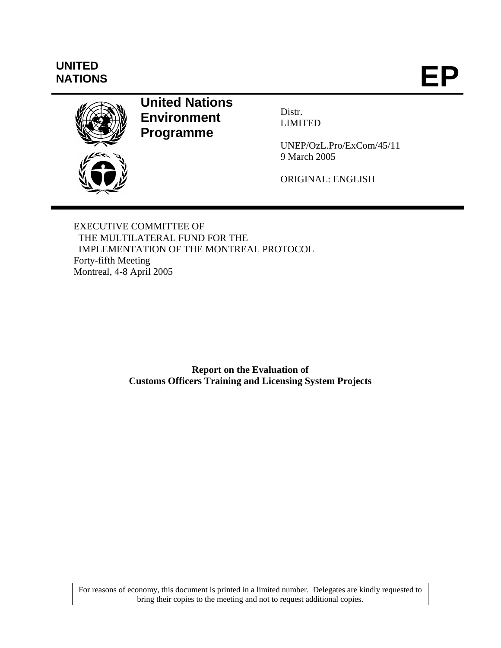# **UNITED**

UNITED<br>NATIONS **EP** 



## **United Nations Environment Programme**

Distr. LIMITED

UNEP/OzL.Pro/ExCom/45/11 9 March 2005

ORIGINAL: ENGLISH

EXECUTIVE COMMITTEE OF THE MULTILATERAL FUND FOR THE IMPLEMENTATION OF THE MONTREAL PROTOCOL Forty-fifth Meeting Montreal, 4-8 April 2005

> **Report on the Evaluation of Customs Officers Training and Licensing System Projects**

For reasons of economy, this document is printed in a limited number. Delegates are kindly requested to bring their copies to the meeting and not to request additional copies.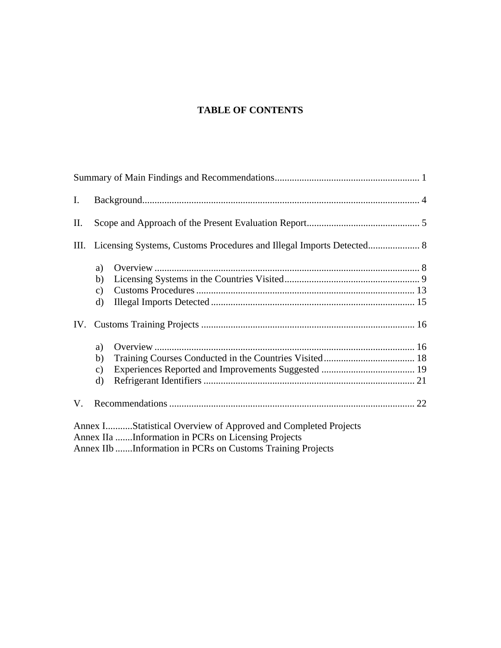## **TABLE OF CONTENTS**

| Ι.   |                                                                                                                                                                                     |  |
|------|-------------------------------------------------------------------------------------------------------------------------------------------------------------------------------------|--|
| II.  |                                                                                                                                                                                     |  |
| III. |                                                                                                                                                                                     |  |
|      | a)<br>b)<br>$\mathbf{c})$<br>d)                                                                                                                                                     |  |
|      |                                                                                                                                                                                     |  |
|      | a)<br>b)<br>$\mathbf{c})$<br>d)                                                                                                                                                     |  |
| V.   |                                                                                                                                                                                     |  |
|      | Annex IStatistical Overview of Approved and Completed Projects<br>Annex IIa Information in PCRs on Licensing Projects<br>Annex IIb Information in PCRs on Customs Training Projects |  |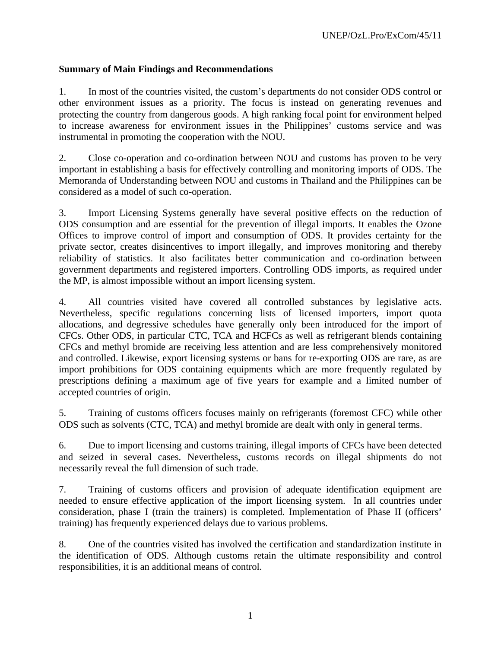#### **Summary of Main Findings and Recommendations**

1. In most of the countries visited, the custom's departments do not consider ODS control or other environment issues as a priority. The focus is instead on generating revenues and protecting the country from dangerous goods. A high ranking focal point for environment helped to increase awareness for environment issues in the Philippines' customs service and was instrumental in promoting the cooperation with the NOU.

2. Close co-operation and co-ordination between NOU and customs has proven to be very important in establishing a basis for effectively controlling and monitoring imports of ODS. The Memoranda of Understanding between NOU and customs in Thailand and the Philippines can be considered as a model of such co-operation.

3. Import Licensing Systems generally have several positive effects on the reduction of ODS consumption and are essential for the prevention of illegal imports. It enables the Ozone Offices to improve control of import and consumption of ODS. It provides certainty for the private sector, creates disincentives to import illegally, and improves monitoring and thereby reliability of statistics. It also facilitates better communication and co-ordination between government departments and registered importers. Controlling ODS imports, as required under the MP, is almost impossible without an import licensing system.

4. All countries visited have covered all controlled substances by legislative acts. Nevertheless, specific regulations concerning lists of licensed importers, import quota allocations, and degressive schedules have generally only been introduced for the import of CFCs. Other ODS, in particular CTC, TCA and HCFCs as well as refrigerant blends containing CFCs and methyl bromide are receiving less attention and are less comprehensively monitored and controlled. Likewise, export licensing systems or bans for re-exporting ODS are rare, as are import prohibitions for ODS containing equipments which are more frequently regulated by prescriptions defining a maximum age of five years for example and a limited number of accepted countries of origin.

5. Training of customs officers focuses mainly on refrigerants (foremost CFC) while other ODS such as solvents (CTC, TCA) and methyl bromide are dealt with only in general terms.

6. Due to import licensing and customs training, illegal imports of CFCs have been detected and seized in several cases. Nevertheless, customs records on illegal shipments do not necessarily reveal the full dimension of such trade.

7. Training of customs officers and provision of adequate identification equipment are needed to ensure effective application of the import licensing system. In all countries under consideration, phase I (train the trainers) is completed. Implementation of Phase II (officers' training) has frequently experienced delays due to various problems.

8. One of the countries visited has involved the certification and standardization institute in the identification of ODS. Although customs retain the ultimate responsibility and control responsibilities, it is an additional means of control.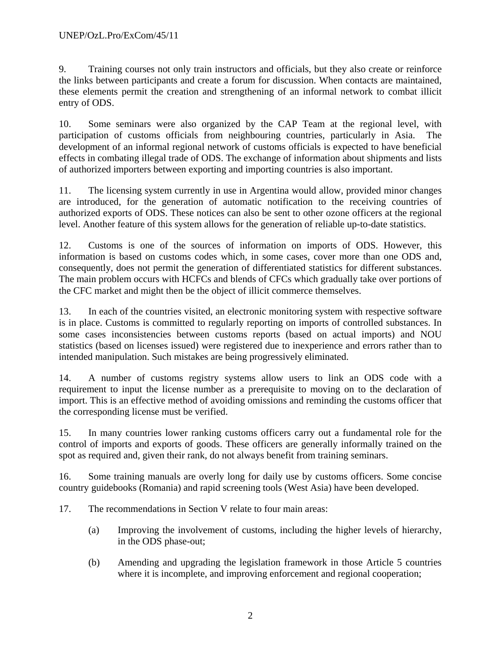9. Training courses not only train instructors and officials, but they also create or reinforce the links between participants and create a forum for discussion. When contacts are maintained, these elements permit the creation and strengthening of an informal network to combat illicit entry of ODS.

10. Some seminars were also organized by the CAP Team at the regional level, with participation of customs officials from neighbouring countries, particularly in Asia. The development of an informal regional network of customs officials is expected to have beneficial effects in combating illegal trade of ODS. The exchange of information about shipments and lists of authorized importers between exporting and importing countries is also important.

11. The licensing system currently in use in Argentina would allow, provided minor changes are introduced, for the generation of automatic notification to the receiving countries of authorized exports of ODS. These notices can also be sent to other ozone officers at the regional level. Another feature of this system allows for the generation of reliable up-to-date statistics.

12. Customs is one of the sources of information on imports of ODS. However, this information is based on customs codes which, in some cases, cover more than one ODS and, consequently, does not permit the generation of differentiated statistics for different substances. The main problem occurs with HCFCs and blends of CFCs which gradually take over portions of the CFC market and might then be the object of illicit commerce themselves.

13. In each of the countries visited, an electronic monitoring system with respective software is in place. Customs is committed to regularly reporting on imports of controlled substances. In some cases inconsistencies between customs reports (based on actual imports) and NOU statistics (based on licenses issued) were registered due to inexperience and errors rather than to intended manipulation. Such mistakes are being progressively eliminated.

14. A number of customs registry systems allow users to link an ODS code with a requirement to input the license number as a prerequisite to moving on to the declaration of import. This is an effective method of avoiding omissions and reminding the customs officer that the corresponding license must be verified.

15. In many countries lower ranking customs officers carry out a fundamental role for the control of imports and exports of goods. These officers are generally informally trained on the spot as required and, given their rank, do not always benefit from training seminars.

16. Some training manuals are overly long for daily use by customs officers. Some concise country guidebooks (Romania) and rapid screening tools (West Asia) have been developed.

17. The recommendations in Section V relate to four main areas:

- (a) Improving the involvement of customs, including the higher levels of hierarchy, in the ODS phase-out;
- (b) Amending and upgrading the legislation framework in those Article 5 countries where it is incomplete, and improving enforcement and regional cooperation;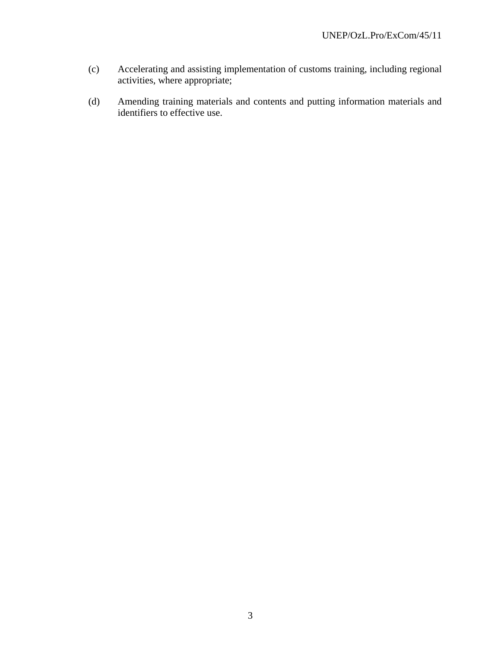- (c) Accelerating and assisting implementation of customs training, including regional activities, where appropriate;
- (d) Amending training materials and contents and putting information materials and identifiers to effective use.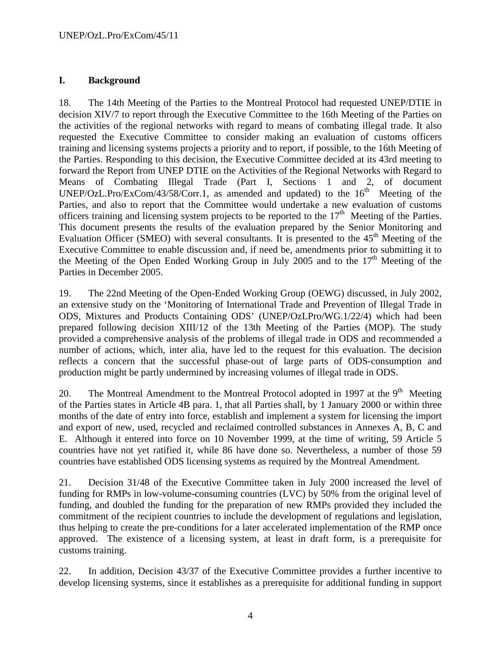#### **I. Background**

18. The 14th Meeting of the Parties to the Montreal Protocol had requested UNEP/DTIE in decision XIV/7 to report through the Executive Committee to the 16th Meeting of the Parties on the activities of the regional networks with regard to means of combating illegal trade. It also requested the Executive Committee to consider making an evaluation of customs officers training and licensing systems projects a priority and to report, if possible, to the 16th Meeting of the Parties. Responding to this decision, the Executive Committee decided at its 43rd meeting to forward the Report from UNEP DTIE on the Activities of the Regional Networks with Regard to Means of Combating Illegal Trade (Part I, Sections 1 and 2, of document UNEP/OzL.Pro/ExCom/43/58/Corr.1, as amended and updated) to the  $16<sup>th</sup>$  Meeting of the Parties, and also to report that the Committee would undertake a new evaluation of customs officers training and licensing system projects to be reported to the  $17<sup>th</sup>$  Meeting of the Parties. This document presents the results of the evaluation prepared by the Senior Monitoring and Evaluation Officer (SMEO) with several consultants. It is presented to the  $45<sup>th</sup>$  Meeting of the Executive Committee to enable discussion and, if need be, amendments prior to submitting it to the Meeting of the Open Ended Working Group in July 2005 and to the  $17<sup>th</sup>$  Meeting of the Parties in December 2005.

19. The 22nd Meeting of the Open-Ended Working Group (OEWG) discussed, in July 2002, an extensive study on the 'Monitoring of International Trade and Prevention of Illegal Trade in ODS, Mixtures and Products Containing ODS' (UNEP/OzLPro/WG.1/22/4) which had been prepared following decision XIII/12 of the 13th Meeting of the Parties (MOP). The study provided a comprehensive analysis of the problems of illegal trade in ODS and recommended a number of actions, which, inter alia, have led to the request for this evaluation. The decision reflects a concern that the successful phase-out of large parts of ODS-consumption and production might be partly undermined by increasing volumes of illegal trade in ODS.

20. The Montreal Amendment to the Montreal Protocol adopted in 1997 at the  $9<sup>th</sup>$  Meeting of the Parties states in Article 4B para. 1, that all Parties shall, by 1 January 2000 or within three months of the date of entry into force, establish and implement a system for licensing the import and export of new, used, recycled and reclaimed controlled substances in Annexes A, B, C and E. Although it entered into force on 10 November 1999, at the time of writing, 59 Article 5 countries have not yet ratified it, while 86 have done so. Nevertheless, a number of those 59 countries have established ODS licensing systems as required by the Montreal Amendment.

21. Decision 31/48 of the Executive Committee taken in July 2000 increased the level of funding for RMPs in low-volume-consuming countries (LVC) by 50% from the original level of funding, and doubled the funding for the preparation of new RMPs provided they included the commitment of the recipient countries to include the development of regulations and legislation, thus helping to create the pre-conditions for a later accelerated implementation of the RMP once approved. The existence of a licensing system, at least in draft form, is a prerequisite for customs training.

22. In addition, Decision 43/37 of the Executive Committee provides a further incentive to develop licensing systems, since it establishes as a prerequisite for additional funding in support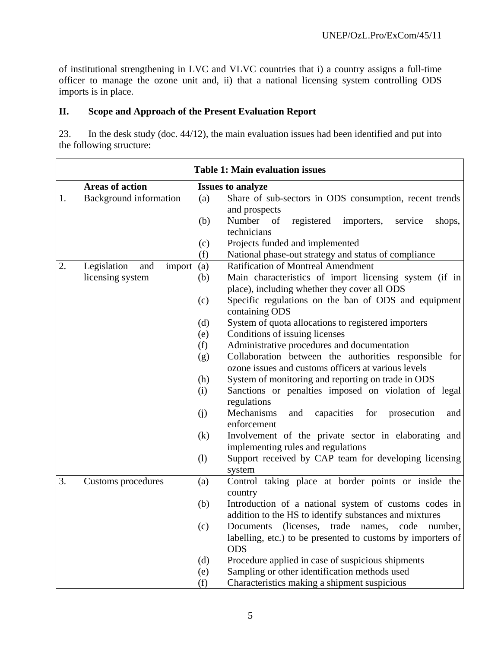of institutional strengthening in LVC and VLVC countries that i) a country assigns a full-time officer to manage the ozone unit and, ii) that a national licensing system controlling ODS imports is in place.

#### **II. Scope and Approach of the Present Evaluation Report**

23. In the desk study (doc. 44/12), the main evaluation issues had been identified and put into the following structure:

|    |                                                  | <b>Table 1: Main evaluation issues</b>                                                                                                                                    |
|----|--------------------------------------------------|---------------------------------------------------------------------------------------------------------------------------------------------------------------------------|
|    | <b>Areas of action</b>                           | <b>Issues to analyze</b>                                                                                                                                                  |
| 1. | <b>Background</b> information                    | Share of sub-sectors in ODS consumption, recent trends<br>(a)<br>and prospects<br>Number of<br>registered<br>(b)<br>importers,<br>service<br>shops,<br>technicians        |
|    |                                                  | Projects funded and implemented<br>(c)<br>National phase-out strategy and status of compliance<br>(f)                                                                     |
| 2. | Legislation<br>and<br>import<br>licensing system | <b>Ratification of Montreal Amendment</b><br>(a)<br>Main characteristics of import licensing system (if in<br>(b)<br>place), including whether they cover all ODS         |
|    |                                                  | Specific regulations on the ban of ODS and equipment<br>(c)<br>containing ODS                                                                                             |
|    |                                                  | System of quota allocations to registered importers<br>(d)                                                                                                                |
|    |                                                  | Conditions of issuing licenses<br>(e)                                                                                                                                     |
|    |                                                  | Administrative procedures and documentation<br>(f)<br>Collaboration between the authorities responsible for<br>(g)<br>ozone issues and customs officers at various levels |
|    |                                                  | System of monitoring and reporting on trade in ODS<br>(h)<br>Sanctions or penalties imposed on violation of legal<br>(i)<br>regulations                                   |
|    |                                                  | (j)<br>Mechanisms<br>capacities for<br>and<br>prosecution<br>and<br>enforcement                                                                                           |
|    |                                                  | Involvement of the private sector in elaborating and<br>(k)<br>implementing rules and regulations                                                                         |
|    |                                                  | Support received by CAP team for developing licensing<br>(1)<br>system                                                                                                    |
| 3. | Customs procedures                               | Control taking place at border points or inside the<br>(a)<br>country                                                                                                     |
|    |                                                  | (b)<br>Introduction of a national system of customs codes in<br>addition to the HS to identify substances and mixtures                                                    |
|    |                                                  | (c)<br>Documents (licenses, trade names, code number,<br>labelling, etc.) to be presented to customs by importers of<br><b>ODS</b>                                        |
|    |                                                  | Procedure applied in case of suspicious shipments<br>(d)                                                                                                                  |
|    |                                                  | Sampling or other identification methods used<br>(e)                                                                                                                      |
|    |                                                  | Characteristics making a shipment suspicious<br>(f)                                                                                                                       |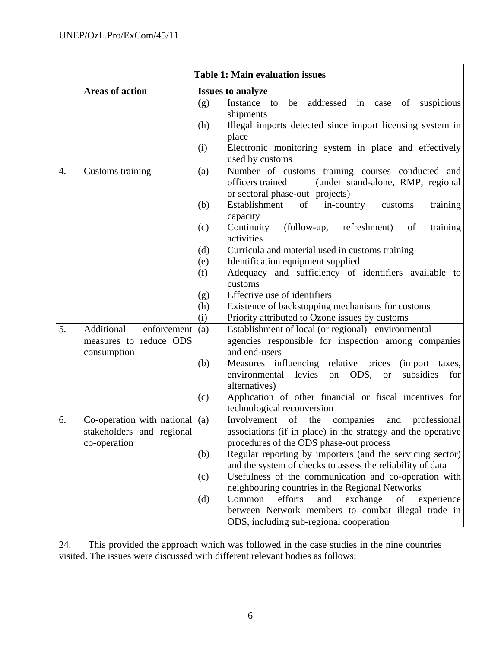|    | <b>Table 1: Main evaluation issues</b> |            |                                                                                                                                              |  |  |
|----|----------------------------------------|------------|----------------------------------------------------------------------------------------------------------------------------------------------|--|--|
|    | <b>Areas of action</b>                 |            | <b>Issues to analyze</b>                                                                                                                     |  |  |
|    |                                        | (g)<br>(h) | addressed in case of suspicious<br>be<br>Instance<br>to<br>shipments<br>Illegal imports detected since import licensing system in<br>place   |  |  |
|    |                                        | (i)        | Electronic monitoring system in place and effectively<br>used by customs                                                                     |  |  |
| 4. | Customs training                       | (a)        | Number of customs training courses conducted and<br>officers trained<br>(under stand-alone, RMP, regional<br>or sectoral phase-out projects) |  |  |
|    |                                        | (b)        | Establishment<br>of<br>in-country<br>customs<br>training<br>capacity                                                                         |  |  |
|    |                                        | (c)        | Continuity<br>(follow-up, refreshment)<br>of<br>training<br>activities                                                                       |  |  |
|    |                                        | (d)        | Curricula and material used in customs training                                                                                              |  |  |
|    |                                        | (e)        | Identification equipment supplied                                                                                                            |  |  |
|    |                                        | (f)        | Adequacy and sufficiency of identifiers available to<br>customs                                                                              |  |  |
|    |                                        | (g)        | Effective use of identifiers                                                                                                                 |  |  |
|    |                                        | (h)        | Existence of backstopping mechanisms for customs                                                                                             |  |  |
|    |                                        | (i)        | Priority attributed to Ozone issues by customs                                                                                               |  |  |
| 5. | Additional<br>enforcement              | (a)        | Establishment of local (or regional) environmental                                                                                           |  |  |
|    | measures to reduce ODS                 |            | agencies responsible for inspection among companies<br>and end-users                                                                         |  |  |
|    | consumption                            | (b)        | Measures influencing relative prices<br>(import taxes,                                                                                       |  |  |
|    |                                        |            | levies<br>ODS, or<br>environmental<br>on<br>subsidies<br>for<br>alternatives)                                                                |  |  |
|    |                                        | (c)        | Application of other financial or fiscal incentives for<br>technological reconversion                                                        |  |  |
| 6. | Co-operation with national $($ a $)$   |            | Involvement of<br>the<br>companies<br>and professional                                                                                       |  |  |
|    | stakeholders and regional              |            | associations (if in place) in the strategy and the operative                                                                                 |  |  |
|    | co-operation                           |            | procedures of the ODS phase-out process                                                                                                      |  |  |
|    |                                        | (b)        | Regular reporting by importers (and the servicing sector)<br>and the system of checks to assess the reliability of data                      |  |  |
|    |                                        | (c)        | Usefulness of the communication and co-operation with<br>neighbouring countries in the Regional Networks                                     |  |  |
|    |                                        | (d)        | Common<br>efforts<br>exchange<br>and<br>of<br>experience                                                                                     |  |  |
|    |                                        |            | between Network members to combat illegal trade in                                                                                           |  |  |
|    |                                        |            | ODS, including sub-regional cooperation                                                                                                      |  |  |

24. This provided the approach which was followed in the case studies in the nine countries visited. The issues were discussed with different relevant bodies as follows: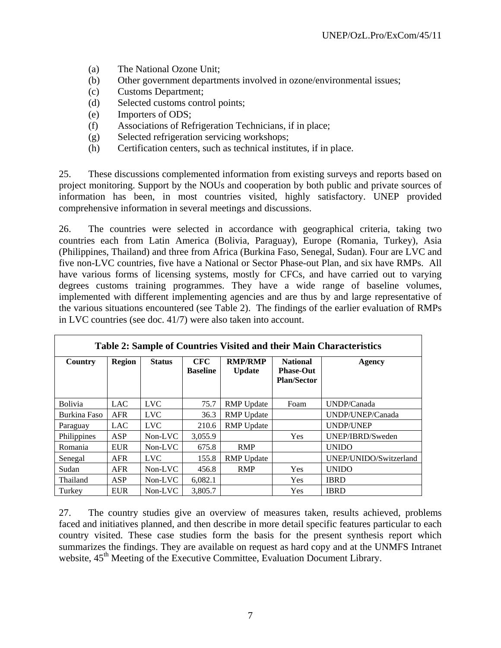- (a) The National Ozone Unit;
- (b) Other government departments involved in ozone/environmental issues;
- (c) Customs Department;
- (d) Selected customs control points;
- (e) Importers of ODS;
- (f) Associations of Refrigeration Technicians, if in place;
- (g) Selected refrigeration servicing workshops;
- (h) Certification centers, such as technical institutes, if in place.

25. These discussions complemented information from existing surveys and reports based on project monitoring. Support by the NOUs and cooperation by both public and private sources of information has been, in most countries visited, highly satisfactory. UNEP provided comprehensive information in several meetings and discussions.

26. The countries were selected in accordance with geographical criteria, taking two countries each from Latin America (Bolivia, Paraguay), Europe (Romania, Turkey), Asia (Philippines, Thailand) and three from Africa (Burkina Faso, Senegal, Sudan). Four are LVC and five non-LVC countries, five have a National or Sector Phase-out Plan, and six have RMPs. All have various forms of licensing systems, mostly for CFCs, and have carried out to varying degrees customs training programmes. They have a wide range of baseline volumes, implemented with different implementing agencies and are thus by and large representative of the various situations encountered (see Table 2). The findings of the earlier evaluation of RMPs in LVC countries (see doc. 41/7) were also taken into account.

| Table 2: Sample of Countries Visited and their Main Characteristics |               |               |                               |                                 |                                                           |                        |  |
|---------------------------------------------------------------------|---------------|---------------|-------------------------------|---------------------------------|-----------------------------------------------------------|------------------------|--|
| Country                                                             | <b>Region</b> | <b>Status</b> | <b>CFC</b><br><b>Baseline</b> | <b>RMP/RMP</b><br><b>Update</b> | <b>National</b><br><b>Phase-Out</b><br><b>Plan/Sector</b> | Agency                 |  |
| Bolivia                                                             | <b>LAC</b>    | <b>LVC</b>    | 75.7                          | <b>RMP</b> Update               | Foam                                                      | UNDP/Canada            |  |
| Burkina Faso                                                        | <b>AFR</b>    | <b>LVC</b>    | 36.3                          | <b>RMP</b> Update               |                                                           | UNDP/UNEP/Canada       |  |
| Paraguay                                                            | <b>LAC</b>    | <b>LVC</b>    | 210.6                         | <b>RMP</b> Update               |                                                           | <b>UNDP/UNEP</b>       |  |
| Philippines                                                         | ASP           | Non-LVC       | 3,055.9                       |                                 | Yes                                                       | UNEP/IBRD/Sweden       |  |
| Romania                                                             | <b>EUR</b>    | $Non-LVC$     | 675.8                         | <b>RMP</b>                      |                                                           | <b>UNIDO</b>           |  |
| Senegal                                                             | <b>AFR</b>    | <b>LVC</b>    | 155.8                         | <b>RMP</b> Update               |                                                           | UNEP/UNIDO/Switzerland |  |
| Sudan                                                               | <b>AFR</b>    | Non-LVC       | 456.8                         | <b>RMP</b>                      | Yes                                                       | <b>UNIDO</b>           |  |
| Thailand                                                            | ASP           | Non-LVC       | 6,082.1                       |                                 | Yes                                                       | <b>IBRD</b>            |  |
| Turkey                                                              | <b>EUR</b>    | Non-LVC       | 3,805.7                       |                                 | Yes                                                       | <b>IBRD</b>            |  |

27. The country studies give an overview of measures taken, results achieved, problems faced and initiatives planned, and then describe in more detail specific features particular to each country visited. These case studies form the basis for the present synthesis report which summarizes the findings. They are available on request as hard copy and at the UNMFS Intranet website,  $45<sup>th</sup>$  Meeting of the Executive Committee, Evaluation Document Library.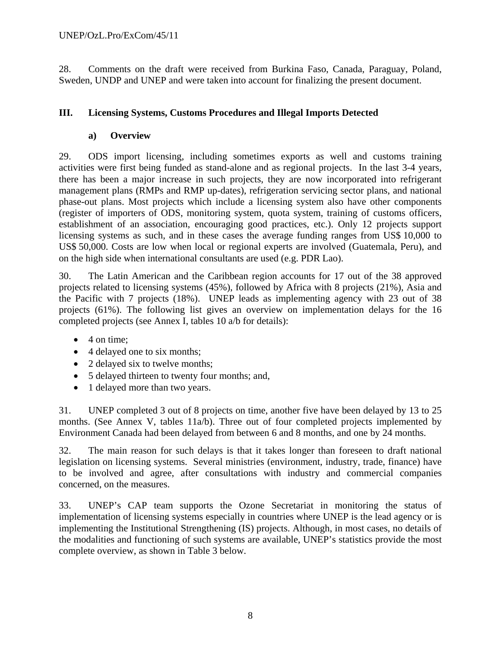28. Comments on the draft were received from Burkina Faso, Canada, Paraguay, Poland, Sweden, UNDP and UNEP and were taken into account for finalizing the present document.

## **III. Licensing Systems, Customs Procedures and Illegal Imports Detected**

#### **a) Overview**

29. ODS import licensing, including sometimes exports as well and customs training activities were first being funded as stand-alone and as regional projects. In the last 3-4 years, there has been a major increase in such projects, they are now incorporated into refrigerant management plans (RMPs and RMP up-dates), refrigeration servicing sector plans, and national phase-out plans. Most projects which include a licensing system also have other components (register of importers of ODS, monitoring system, quota system, training of customs officers, establishment of an association, encouraging good practices, etc.). Only 12 projects support licensing systems as such, and in these cases the average funding ranges from US\$ 10,000 to US\$ 50,000. Costs are low when local or regional experts are involved (Guatemala, Peru), and on the high side when international consultants are used (e.g. PDR Lao).

30. The Latin American and the Caribbean region accounts for 17 out of the 38 approved projects related to licensing systems (45%), followed by Africa with 8 projects (21%), Asia and the Pacific with 7 projects (18%). UNEP leads as implementing agency with 23 out of 38 projects (61%). The following list gives an overview on implementation delays for the 16 completed projects (see Annex I, tables 10 a/b for details):

- 4 on time:
- 4 delayed one to six months;
- 2 delayed six to twelve months;
- 5 delayed thirteen to twenty four months; and,
- 1 delayed more than two years.

31. UNEP completed 3 out of 8 projects on time, another five have been delayed by 13 to 25 months. (See Annex V, tables 11a/b). Three out of four completed projects implemented by Environment Canada had been delayed from between 6 and 8 months, and one by 24 months.

32. The main reason for such delays is that it takes longer than foreseen to draft national legislation on licensing systems. Several ministries (environment, industry, trade, finance) have to be involved and agree, after consultations with industry and commercial companies concerned, on the measures.

33. UNEP's CAP team supports the Ozone Secretariat in monitoring the status of implementation of licensing systems especially in countries where UNEP is the lead agency or is implementing the Institutional Strengthening (IS) projects. Although, in most cases, no details of the modalities and functioning of such systems are available, UNEP's statistics provide the most complete overview, as shown in Table 3 below.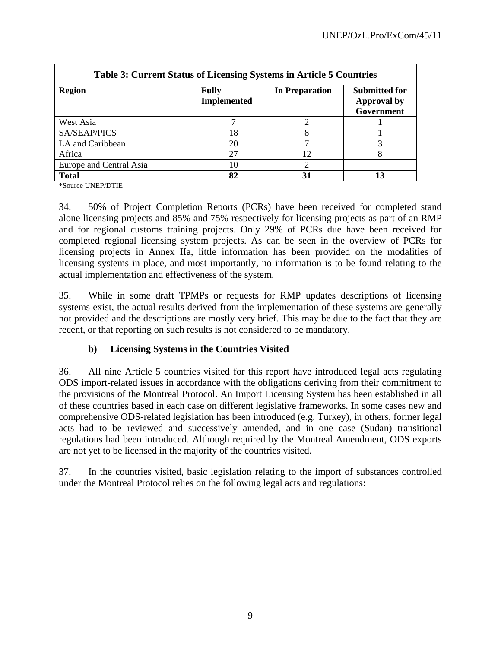| <b>Table 3: Current Status of Licensing Systems in Article 5 Countries</b> |                                    |                       |                                                          |  |  |
|----------------------------------------------------------------------------|------------------------------------|-----------------------|----------------------------------------------------------|--|--|
| <b>Region</b>                                                              | <b>Fully</b><br><b>Implemented</b> | <b>In Preparation</b> | <b>Submitted for</b><br><b>Approval by</b><br>Government |  |  |
| West Asia                                                                  |                                    |                       |                                                          |  |  |
| SA/SEAP/PICS                                                               | 18                                 |                       |                                                          |  |  |
| LA and Caribbean                                                           | 20                                 |                       |                                                          |  |  |
| Africa                                                                     | 27                                 | 12                    |                                                          |  |  |
| Europe and Central Asia                                                    | 10                                 |                       |                                                          |  |  |
| <b>Total</b>                                                               | 82                                 | 31                    |                                                          |  |  |

\*Source UNEP/DTIE

34. 50% of Project Completion Reports (PCRs) have been received for completed stand alone licensing projects and 85% and 75% respectively for licensing projects as part of an RMP and for regional customs training projects. Only 29% of PCRs due have been received for completed regional licensing system projects. As can be seen in the overview of PCRs for licensing projects in Annex IIa, little information has been provided on the modalities of licensing systems in place, and most importantly, no information is to be found relating to the actual implementation and effectiveness of the system.

35. While in some draft TPMPs or requests for RMP updates descriptions of licensing systems exist, the actual results derived from the implementation of these systems are generally not provided and the descriptions are mostly very brief. This may be due to the fact that they are recent, or that reporting on such results is not considered to be mandatory.

#### **b) Licensing Systems in the Countries Visited**

36. All nine Article 5 countries visited for this report have introduced legal acts regulating ODS import-related issues in accordance with the obligations deriving from their commitment to the provisions of the Montreal Protocol. An Import Licensing System has been established in all of these countries based in each case on different legislative frameworks. In some cases new and comprehensive ODS-related legislation has been introduced (e.g. Turkey), in others, former legal acts had to be reviewed and successively amended, and in one case (Sudan) transitional regulations had been introduced. Although required by the Montreal Amendment, ODS exports are not yet to be licensed in the majority of the countries visited.

37. In the countries visited, basic legislation relating to the import of substances controlled under the Montreal Protocol relies on the following legal acts and regulations: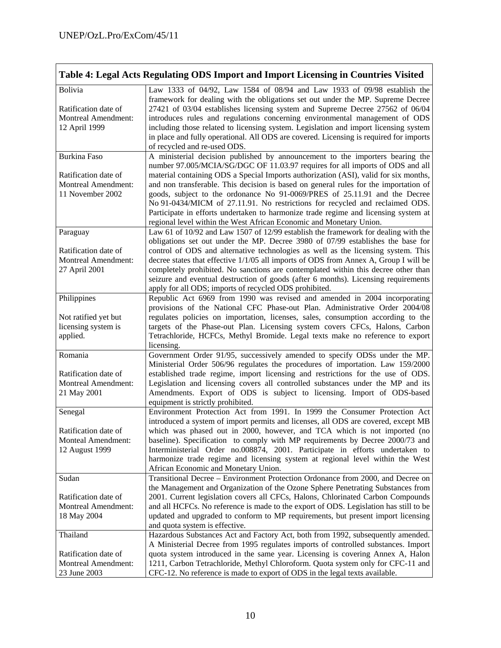|                                                                                | Table 4: Legal Acts Regulating ODS Import and Import Licensing in Countries Visited                                                                                                                                                                                                                                                                                                                                                                                                                                                           |
|--------------------------------------------------------------------------------|-----------------------------------------------------------------------------------------------------------------------------------------------------------------------------------------------------------------------------------------------------------------------------------------------------------------------------------------------------------------------------------------------------------------------------------------------------------------------------------------------------------------------------------------------|
| Bolivia<br>Ratification date of<br><b>Montreal Amendment:</b><br>12 April 1999 | Law 1333 of 04/92, Law 1584 of 08/94 and Law 1933 of 09/98 establish the<br>framework for dealing with the obligations set out under the MP. Supreme Decree<br>27421 of 03/04 establishes licensing system and Supreme Decree 27562 of 06/04<br>introduces rules and regulations concerning environmental management of ODS<br>including those related to licensing system. Legislation and import licensing system<br>in place and fully operational. All ODS are covered. Licensing is required for imports<br>of recycled and re-used ODS. |
| <b>Burkina Faso</b>                                                            | A ministerial decision published by announcement to the importers bearing the<br>number 97.005/MCIA/SG/DGC OF 11.03.97 requires for all imports of ODS and all                                                                                                                                                                                                                                                                                                                                                                                |
| Ratification date of<br><b>Montreal Amendment:</b><br>11 November 2002         | material containing ODS a Special Imports authorization (ASI), valid for six months,<br>and non transferable. This decision is based on general rules for the importation of<br>goods, subject to the ordonance No 91-0069/PRES of 25.11.91 and the Decree<br>No 91-0434/MICM of 27.11.91. No restrictions for recycled and reclaimed ODS.<br>Participate in efforts undertaken to harmonize trade regime and licensing system at<br>regional level within the West African Economic and Monetary Union.                                      |
| Paraguay                                                                       | Law 61 of 10/92 and Law 1507 of 12/99 establish the framework for dealing with the                                                                                                                                                                                                                                                                                                                                                                                                                                                            |
| Ratification date of<br><b>Montreal Amendment:</b><br>27 April 2001            | obligations set out under the MP. Decree 3980 of 07/99 establishes the base for<br>control of ODS and alternative technologies as well as the licensing system. This<br>decree states that effective 1/1/05 all imports of ODS from Annex A, Group I will be<br>completely prohibited. No sanctions are contemplated within this decree other than<br>seizure and eventual destruction of goods (after 6 months). Licensing requirements<br>apply for all ODS; imports of recycled ODS prohibited.                                            |
| Philippines                                                                    | Republic Act 6969 from 1990 was revised and amended in 2004 incorporating                                                                                                                                                                                                                                                                                                                                                                                                                                                                     |
| Not ratified yet but<br>licensing system is<br>applied.                        | provisions of the National CFC Phase-out Plan. Administrative Order 2004/08<br>regulates policies on importation, licenses, sales, consumption according to the<br>targets of the Phase-out Plan. Licensing system covers CFCs, Halons, Carbon<br>Tetrachloride, HCFCs, Methyl Bromide. Legal texts make no reference to export<br>licensing.                                                                                                                                                                                                 |
| Romania                                                                        | Government Order 91/95, successively amended to specify ODSs under the MP.                                                                                                                                                                                                                                                                                                                                                                                                                                                                    |
| Ratification date of<br><b>Montreal Amendment:</b><br>21 May 2001              | Ministerial Order 506/96 regulates the procedures of importation. Law 159/2000<br>established trade regime, import licensing and restrictions for the use of ODS.<br>Legislation and licensing covers all controlled substances under the MP and its<br>Amendments. Export of ODS is subject to licensing. Import of ODS-based<br>equipment is strictly prohibited.                                                                                                                                                                           |
| Senegal                                                                        | Environment Protection Act from 1991. In 1999 the Consumer Protection Act                                                                                                                                                                                                                                                                                                                                                                                                                                                                     |
| Ratification date of<br><b>Monteal Amendment:</b><br>12 August 1999            | introduced a system of import permits and licenses, all ODS are covered, except MB<br>which was phased out in 2000, however, and TCA which is not imported (no<br>baseline). Specification to comply with MP requirements by Decree 2000/73 and<br>Interministerial Order no.008874, 2001. Participate in efforts undertaken to<br>harmonize trade regime and licensing system at regional level within the West<br>African Economic and Monetary Union.                                                                                      |
| Sudan                                                                          | Transitional Decree - Environment Protection Ordonance from 2000, and Decree on                                                                                                                                                                                                                                                                                                                                                                                                                                                               |
| Ratification date of<br><b>Montreal Amendment:</b><br>18 May 2004              | the Management and Organization of the Ozone Sphere Penetrating Substances from<br>2001. Current legislation covers all CFCs, Halons, Chlorinated Carbon Compounds<br>and all HCFCs. No reference is made to the export of ODS. Legislation has still to be<br>updated and upgraded to conform to MP requirements, but present import licensing<br>and quota system is effective.                                                                                                                                                             |
| Thailand                                                                       | Hazardous Substances Act and Factory Act, both from 1992, subsequently amended.                                                                                                                                                                                                                                                                                                                                                                                                                                                               |
| Ratification date of<br><b>Montreal Amendment:</b><br>23 June 2003             | A Ministerial Decree from 1995 regulates imports of controlled substances. Import<br>quota system introduced in the same year. Licensing is covering Annex A, Halon<br>1211, Carbon Tetrachloride, Methyl Chloroform. Quota system only for CFC-11 and<br>CFC-12. No reference is made to export of ODS in the legal texts available.                                                                                                                                                                                                         |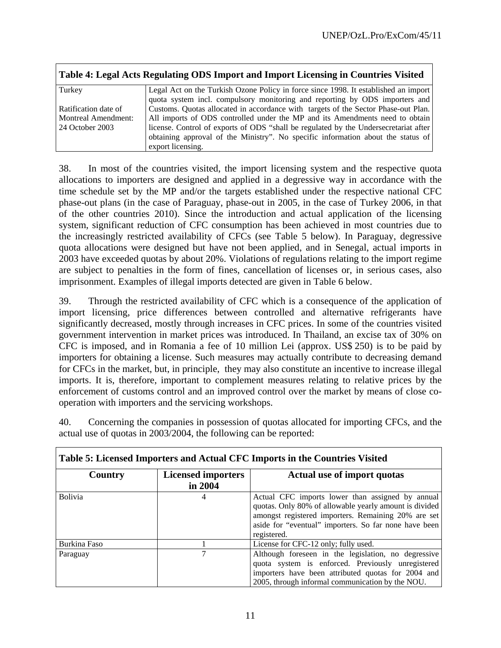| Table 4: Legal Acts Regulating ODS Import and Import Licensing in Countries Visited |                                                                                      |  |  |  |
|-------------------------------------------------------------------------------------|--------------------------------------------------------------------------------------|--|--|--|
| Turkey                                                                              | Legal Act on the Turkish Ozone Policy in force since 1998. It established an import  |  |  |  |
|                                                                                     | quota system incl. compulsory monitoring and reporting by ODS importers and          |  |  |  |
| Ratification date of                                                                | Customs. Quotas allocated in accordance with targets of the Sector Phase-out Plan.   |  |  |  |
| Montreal Amendment:                                                                 | All imports of ODS controlled under the MP and its Amendments need to obtain         |  |  |  |
| $24$ October 2003                                                                   | license. Control of exports of ODS "shall be regulated by the Undersecretariat after |  |  |  |
|                                                                                     | obtaining approval of the Ministry". No specific information about the status of     |  |  |  |
|                                                                                     | export licensing.                                                                    |  |  |  |

38. In most of the countries visited, the import licensing system and the respective quota allocations to importers are designed and applied in a degressive way in accordance with the time schedule set by the MP and/or the targets established under the respective national CFC phase-out plans (in the case of Paraguay, phase-out in 2005, in the case of Turkey 2006, in that of the other countries 2010). Since the introduction and actual application of the licensing system, significant reduction of CFC consumption has been achieved in most countries due to the increasingly restricted availability of CFCs (see Table 5 below). In Paraguay, degressive quota allocations were designed but have not been applied, and in Senegal, actual imports in 2003 have exceeded quotas by about 20%. Violations of regulations relating to the import regime are subject to penalties in the form of fines, cancellation of licenses or, in serious cases, also imprisonment. Examples of illegal imports detected are given in Table 6 below.

39. Through the restricted availability of CFC which is a consequence of the application of import licensing, price differences between controlled and alternative refrigerants have significantly decreased, mostly through increases in CFC prices. In some of the countries visited government intervention in market prices was introduced. In Thailand, an excise tax of 30% on CFC is imposed, and in Romania a fee of 10 million Lei (approx. US\$ 250) is to be paid by importers for obtaining a license. Such measures may actually contribute to decreasing demand for CFCs in the market, but, in principle, they may also constitute an incentive to increase illegal imports. It is, therefore, important to complement measures relating to relative prices by the enforcement of customs control and an improved control over the market by means of close cooperation with importers and the servicing workshops.

| 40. | Concerning the companies in possession of quotas allocated for importing CFCs, and the |  |  |  |
|-----|----------------------------------------------------------------------------------------|--|--|--|
|     | actual use of quotas in 2003/2004, the following can be reported:                      |  |  |  |

| Table 5: Licensed Importers and Actual CFC Imports in the Countries Visited |                                                                                                                                                                                                                                                |                                                                                                                                                                                                                    |  |  |  |
|-----------------------------------------------------------------------------|------------------------------------------------------------------------------------------------------------------------------------------------------------------------------------------------------------------------------------------------|--------------------------------------------------------------------------------------------------------------------------------------------------------------------------------------------------------------------|--|--|--|
| Country                                                                     | Actual use of import quotas                                                                                                                                                                                                                    |                                                                                                                                                                                                                    |  |  |  |
|                                                                             | in 2004                                                                                                                                                                                                                                        |                                                                                                                                                                                                                    |  |  |  |
| <b>Bolivia</b>                                                              | Actual CFC imports lower than assigned by annual<br>4<br>quotas. Only 80% of allowable yearly amount is divided<br>amongst registered importers. Remaining 20% are set<br>aside for "eventual" importers. So far none have been<br>registered. |                                                                                                                                                                                                                    |  |  |  |
| Burkina Faso                                                                |                                                                                                                                                                                                                                                | License for CFC-12 only; fully used.                                                                                                                                                                               |  |  |  |
| Paraguay                                                                    |                                                                                                                                                                                                                                                | Although foreseen in the legislation, no degressive<br>quota system is enforced. Previously unregistered<br>importers have been attributed quotas for 2004 and<br>2005, through informal communication by the NOU. |  |  |  |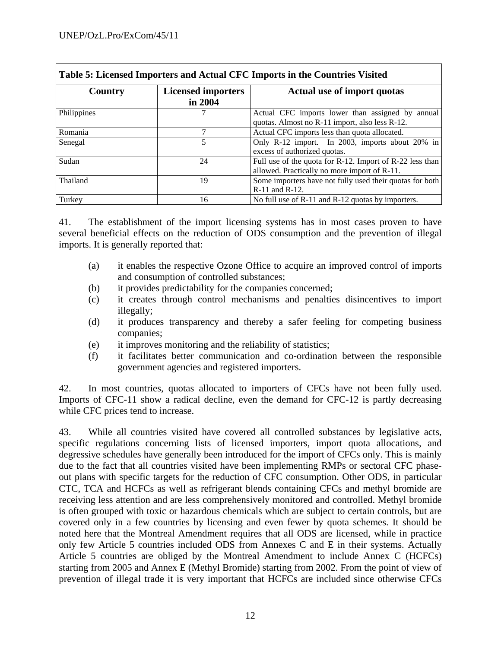| Table 5: Licensed Importers and Actual CFC Imports in the Countries Visited |                                                                                                    |                                                                                                          |  |  |  |
|-----------------------------------------------------------------------------|----------------------------------------------------------------------------------------------------|----------------------------------------------------------------------------------------------------------|--|--|--|
| Country                                                                     | <b>Licensed importers</b><br>in 2004                                                               | Actual use of import quotas                                                                              |  |  |  |
| Philippines                                                                 | Actual CFC imports lower than assigned by annual<br>quotas. Almost no R-11 import, also less R-12. |                                                                                                          |  |  |  |
| Romania                                                                     | 7                                                                                                  | Actual CFC imports less than quota allocated.                                                            |  |  |  |
| Senegal                                                                     | 5                                                                                                  | Only R-12 import. In 2003, imports about 20% in<br>excess of authorized quotas.                          |  |  |  |
| Sudan                                                                       | 24                                                                                                 | Full use of the quota for R-12. Import of R-22 less than<br>allowed. Practically no more import of R-11. |  |  |  |
| Thailand                                                                    | 19                                                                                                 | Some importers have not fully used their quotas for both<br>R-11 and R-12.                               |  |  |  |
| Turkey                                                                      | 16                                                                                                 | No full use of R-11 and R-12 quotas by importers.                                                        |  |  |  |

41. The establishment of the import licensing systems has in most cases proven to have several beneficial effects on the reduction of ODS consumption and the prevention of illegal imports. It is generally reported that:

- (a) it enables the respective Ozone Office to acquire an improved control of imports and consumption of controlled substances;
- (b) it provides predictability for the companies concerned;
- (c) it creates through control mechanisms and penalties disincentives to import illegally;
- (d) it produces transparency and thereby a safer feeling for competing business companies;
- (e) it improves monitoring and the reliability of statistics;
- (f) it facilitates better communication and co-ordination between the responsible government agencies and registered importers.

42. In most countries, quotas allocated to importers of CFCs have not been fully used. Imports of CFC-11 show a radical decline, even the demand for CFC-12 is partly decreasing while CFC prices tend to increase.

43. While all countries visited have covered all controlled substances by legislative acts, specific regulations concerning lists of licensed importers, import quota allocations, and degressive schedules have generally been introduced for the import of CFCs only. This is mainly due to the fact that all countries visited have been implementing RMPs or sectoral CFC phaseout plans with specific targets for the reduction of CFC consumption. Other ODS, in particular CTC, TCA and HCFCs as well as refrigerant blends containing CFCs and methyl bromide are receiving less attention and are less comprehensively monitored and controlled. Methyl bromide is often grouped with toxic or hazardous chemicals which are subject to certain controls, but are covered only in a few countries by licensing and even fewer by quota schemes. It should be noted here that the Montreal Amendment requires that all ODS are licensed, while in practice only few Article 5 countries included ODS from Annexes C and E in their systems. Actually Article 5 countries are obliged by the Montreal Amendment to include Annex C (HCFCs) starting from 2005 and Annex E (Methyl Bromide) starting from 2002. From the point of view of prevention of illegal trade it is very important that HCFCs are included since otherwise CFCs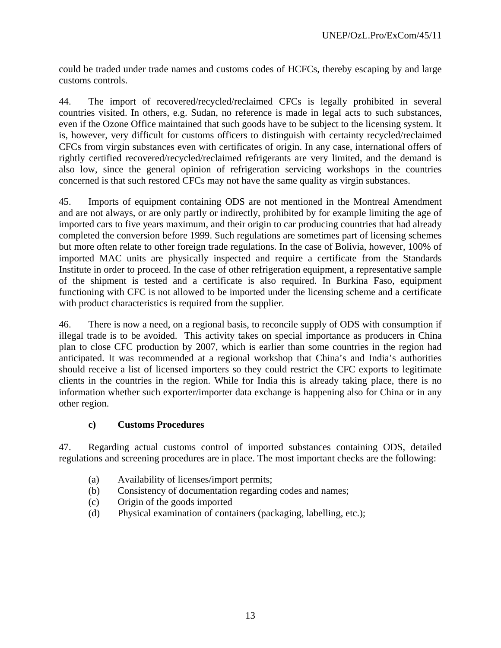could be traded under trade names and customs codes of HCFCs, thereby escaping by and large customs controls.

44. The import of recovered/recycled/reclaimed CFCs is legally prohibited in several countries visited. In others, e.g. Sudan, no reference is made in legal acts to such substances, even if the Ozone Office maintained that such goods have to be subject to the licensing system. It is, however, very difficult for customs officers to distinguish with certainty recycled/reclaimed CFCs from virgin substances even with certificates of origin. In any case, international offers of rightly certified recovered/recycled/reclaimed refrigerants are very limited, and the demand is also low, since the general opinion of refrigeration servicing workshops in the countries concerned is that such restored CFCs may not have the same quality as virgin substances.

45. Imports of equipment containing ODS are not mentioned in the Montreal Amendment and are not always, or are only partly or indirectly, prohibited by for example limiting the age of imported cars to five years maximum, and their origin to car producing countries that had already completed the conversion before 1999. Such regulations are sometimes part of licensing schemes but more often relate to other foreign trade regulations. In the case of Bolivia, however, 100% of imported MAC units are physically inspected and require a certificate from the Standards Institute in order to proceed. In the case of other refrigeration equipment, a representative sample of the shipment is tested and a certificate is also required. In Burkina Faso, equipment functioning with CFC is not allowed to be imported under the licensing scheme and a certificate with product characteristics is required from the supplier.

46. There is now a need, on a regional basis, to reconcile supply of ODS with consumption if illegal trade is to be avoided. This activity takes on special importance as producers in China plan to close CFC production by 2007, which is earlier than some countries in the region had anticipated. It was recommended at a regional workshop that China's and India's authorities should receive a list of licensed importers so they could restrict the CFC exports to legitimate clients in the countries in the region. While for India this is already taking place, there is no information whether such exporter/importer data exchange is happening also for China or in any other region.

#### **c) Customs Procedures**

47. Regarding actual customs control of imported substances containing ODS, detailed regulations and screening procedures are in place. The most important checks are the following:

- (a) Availability of licenses/import permits;
- (b) Consistency of documentation regarding codes and names;
- (c) Origin of the goods imported
- (d) Physical examination of containers (packaging, labelling, etc.);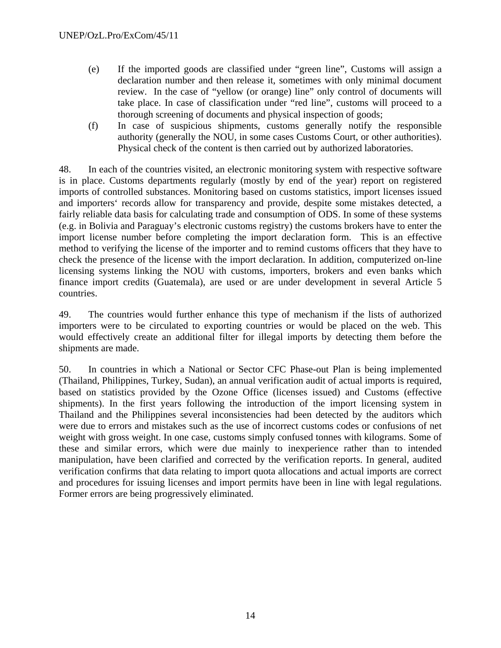- (e) If the imported goods are classified under "green line", Customs will assign a declaration number and then release it, sometimes with only minimal document review. In the case of "yellow (or orange) line" only control of documents will take place. In case of classification under "red line", customs will proceed to a thorough screening of documents and physical inspection of goods;
- (f) In case of suspicious shipments, customs generally notify the responsible authority (generally the NOU, in some cases Customs Court, or other authorities). Physical check of the content is then carried out by authorized laboratories.

48. In each of the countries visited, an electronic monitoring system with respective software is in place. Customs departments regularly (mostly by end of the year) report on registered imports of controlled substances. Monitoring based on customs statistics, import licenses issued and importers' records allow for transparency and provide, despite some mistakes detected, a fairly reliable data basis for calculating trade and consumption of ODS. In some of these systems (e.g. in Bolivia and Paraguay's electronic customs registry) the customs brokers have to enter the import license number before completing the import declaration form. This is an effective method to verifying the license of the importer and to remind customs officers that they have to check the presence of the license with the import declaration. In addition, computerized on-line licensing systems linking the NOU with customs, importers, brokers and even banks which finance import credits (Guatemala), are used or are under development in several Article 5 countries.

49. The countries would further enhance this type of mechanism if the lists of authorized importers were to be circulated to exporting countries or would be placed on the web. This would effectively create an additional filter for illegal imports by detecting them before the shipments are made.

50. In countries in which a National or Sector CFC Phase-out Plan is being implemented (Thailand, Philippines, Turkey, Sudan), an annual verification audit of actual imports is required, based on statistics provided by the Ozone Office (licenses issued) and Customs (effective shipments). In the first years following the introduction of the import licensing system in Thailand and the Philippines several inconsistencies had been detected by the auditors which were due to errors and mistakes such as the use of incorrect customs codes or confusions of net weight with gross weight. In one case, customs simply confused tonnes with kilograms. Some of these and similar errors, which were due mainly to inexperience rather than to intended manipulation, have been clarified and corrected by the verification reports. In general, audited verification confirms that data relating to import quota allocations and actual imports are correct and procedures for issuing licenses and import permits have been in line with legal regulations. Former errors are being progressively eliminated.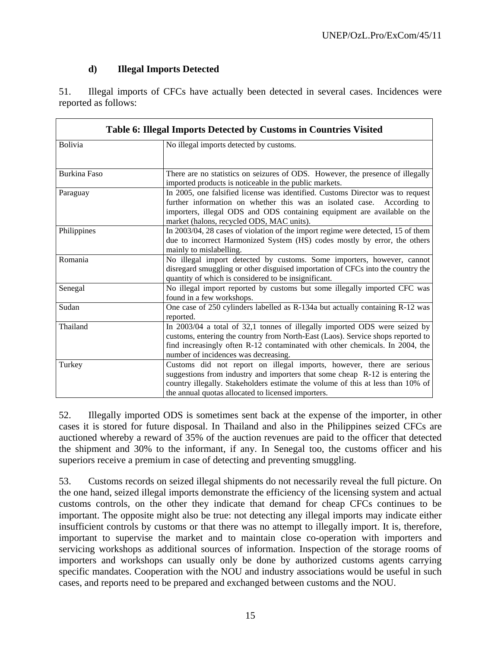## **d) Illegal Imports Detected**

51. Illegal imports of CFCs have actually been detected in several cases. Incidences were reported as follows:

| Table 6: Illegal Imports Detected by Customs in Countries Visited |                                                                                                                                                                                                                                                                                                |  |  |
|-------------------------------------------------------------------|------------------------------------------------------------------------------------------------------------------------------------------------------------------------------------------------------------------------------------------------------------------------------------------------|--|--|
| <b>Bolivia</b>                                                    | No illegal imports detected by customs.                                                                                                                                                                                                                                                        |  |  |
| <b>Burkina Faso</b>                                               | There are no statistics on seizures of ODS. However, the presence of illegally<br>imported products is noticeable in the public markets.                                                                                                                                                       |  |  |
| Paraguay                                                          | In 2005, one falsified license was identified. Customs Director was to request<br>further information on whether this was an isolated case.<br>According to<br>importers, illegal ODS and ODS containing equipment are available on the<br>market (halons, recycled ODS, MAC units).           |  |  |
| Philippines                                                       | In 2003/04, 28 cases of violation of the import regime were detected, 15 of them<br>due to incorrect Harmonized System (HS) codes mostly by error, the others<br>mainly to mislabelling.                                                                                                       |  |  |
| Romania                                                           | No illegal import detected by customs. Some importers, however, cannot<br>disregard smuggling or other disguised importation of CFCs into the country the<br>quantity of which is considered to be insignificant.                                                                              |  |  |
| Senegal                                                           | No illegal import reported by customs but some illegally imported CFC was<br>found in a few workshops.                                                                                                                                                                                         |  |  |
| Sudan                                                             | One case of 250 cylinders labelled as R-134a but actually containing R-12 was<br>reported.                                                                                                                                                                                                     |  |  |
| Thailand                                                          | In 2003/04 a total of 32,1 tonnes of illegally imported ODS were seized by<br>customs, entering the country from North-East (Laos). Service shops reported to<br>find increasingly often R-12 contaminated with other chemicals. In 2004, the<br>number of incidences was decreasing.          |  |  |
| Turkey                                                            | Customs did not report on illegal imports, however, there are serious<br>suggestions from industry and importers that some cheap R-12 is entering the<br>country illegally. Stakeholders estimate the volume of this at less than 10% of<br>the annual quotas allocated to licensed importers. |  |  |

52. Illegally imported ODS is sometimes sent back at the expense of the importer, in other cases it is stored for future disposal. In Thailand and also in the Philippines seized CFCs are auctioned whereby a reward of 35% of the auction revenues are paid to the officer that detected the shipment and 30% to the informant, if any. In Senegal too, the customs officer and his superiors receive a premium in case of detecting and preventing smuggling.

53. Customs records on seized illegal shipments do not necessarily reveal the full picture. On the one hand, seized illegal imports demonstrate the efficiency of the licensing system and actual customs controls, on the other they indicate that demand for cheap CFCs continues to be important. The opposite might also be true: not detecting any illegal imports may indicate either insufficient controls by customs or that there was no attempt to illegally import. It is, therefore, important to supervise the market and to maintain close co-operation with importers and servicing workshops as additional sources of information. Inspection of the storage rooms of importers and workshops can usually only be done by authorized customs agents carrying specific mandates. Cooperation with the NOU and industry associations would be useful in such cases, and reports need to be prepared and exchanged between customs and the NOU.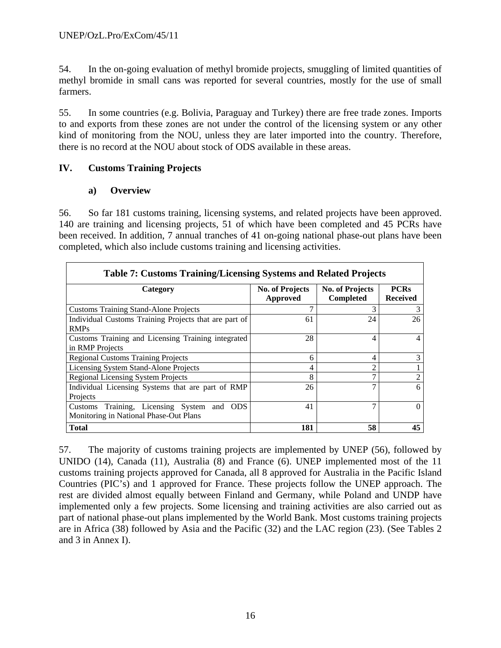54. In the on-going evaluation of methyl bromide projects, smuggling of limited quantities of methyl bromide in small cans was reported for several countries, mostly for the use of small farmers.

55. In some countries (e.g. Bolivia, Paraguay and Turkey) there are free trade zones. Imports to and exports from these zones are not under the control of the licensing system or any other kind of monitoring from the NOU, unless they are later imported into the country. Therefore, there is no record at the NOU about stock of ODS available in these areas.

## **IV. Customs Training Projects**

#### **a) Overview**

56. So far 181 customs training, licensing systems, and related projects have been approved. 140 are training and licensing projects, 51 of which have been completed and 45 PCRs have been received. In addition, 7 annual tranches of 41 on-going national phase-out plans have been completed, which also include customs training and licensing activities.

| <b>Table 7: Customs Training/Licensing Systems and Related Projects</b>              |                                    |                                     |                                |  |  |
|--------------------------------------------------------------------------------------|------------------------------------|-------------------------------------|--------------------------------|--|--|
| Category                                                                             | <b>No. of Projects</b><br>Approved | <b>No. of Projects</b><br>Completed | <b>PCRs</b><br><b>Received</b> |  |  |
| <b>Customs Training Stand-Alone Projects</b>                                         |                                    | 3                                   | 3                              |  |  |
| Individual Customs Training Projects that are part of<br><b>RMPs</b>                 | 61                                 | 24                                  | 26                             |  |  |
| Customs Training and Licensing Training integrated<br>in RMP Projects                | 28                                 | 4                                   |                                |  |  |
| <b>Regional Customs Training Projects</b>                                            | 6                                  | 4                                   |                                |  |  |
| Licensing System Stand-Alone Projects                                                | 4                                  | $\overline{2}$                      |                                |  |  |
| <b>Regional Licensing System Projects</b>                                            | 8                                  | 7                                   | $\mathfrak{D}$                 |  |  |
| Individual Licensing Systems that are part of RMP<br>Projects                        | 26                                 | 7                                   | 6                              |  |  |
| Customs Training, Licensing System and ODS<br>Monitoring in National Phase-Out Plans | 41                                 | 7                                   | $\mathbf{0}$                   |  |  |
| <b>Total</b>                                                                         | 181                                | 58                                  | 45                             |  |  |

57. The majority of customs training projects are implemented by UNEP (56), followed by UNIDO (14), Canada (11), Australia (8) and France (6). UNEP implemented most of the 11 customs training projects approved for Canada, all 8 approved for Australia in the Pacific Island Countries (PIC's) and 1 approved for France. These projects follow the UNEP approach. The rest are divided almost equally between Finland and Germany, while Poland and UNDP have implemented only a few projects. Some licensing and training activities are also carried out as part of national phase-out plans implemented by the World Bank. Most customs training projects are in Africa (38) followed by Asia and the Pacific (32) and the LAC region (23). (See Tables 2 and 3 in Annex I).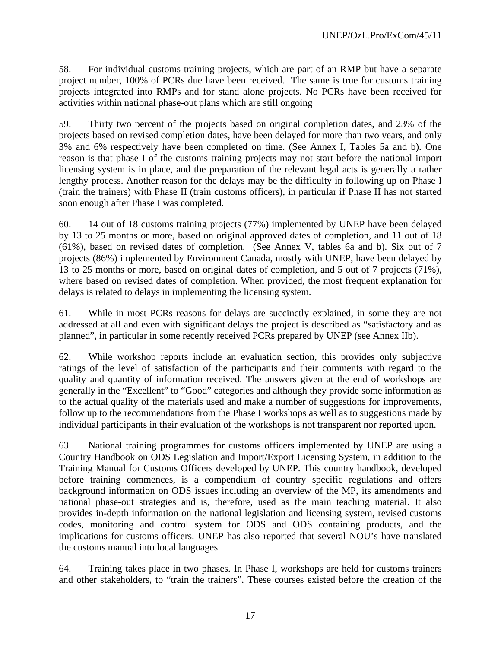58. For individual customs training projects, which are part of an RMP but have a separate project number, 100% of PCRs due have been received. The same is true for customs training projects integrated into RMPs and for stand alone projects. No PCRs have been received for activities within national phase-out plans which are still ongoing

59. Thirty two percent of the projects based on original completion dates, and 23% of the projects based on revised completion dates, have been delayed for more than two years, and only 3% and 6% respectively have been completed on time. (See Annex I, Tables 5a and b). One reason is that phase I of the customs training projects may not start before the national import licensing system is in place, and the preparation of the relevant legal acts is generally a rather lengthy process. Another reason for the delays may be the difficulty in following up on Phase I (train the trainers) with Phase II (train customs officers), in particular if Phase II has not started soon enough after Phase I was completed.

60. 14 out of 18 customs training projects (77%) implemented by UNEP have been delayed by 13 to 25 months or more, based on original approved dates of completion, and 11 out of 18 (61%), based on revised dates of completion. (See Annex V, tables 6a and b). Six out of 7 projects (86%) implemented by Environment Canada, mostly with UNEP, have been delayed by 13 to 25 months or more, based on original dates of completion, and 5 out of 7 projects (71%), where based on revised dates of completion. When provided, the most frequent explanation for delays is related to delays in implementing the licensing system.

61. While in most PCRs reasons for delays are succinctly explained, in some they are not addressed at all and even with significant delays the project is described as "satisfactory and as planned", in particular in some recently received PCRs prepared by UNEP (see Annex IIb).

62. While workshop reports include an evaluation section, this provides only subjective ratings of the level of satisfaction of the participants and their comments with regard to the quality and quantity of information received. The answers given at the end of workshops are generally in the "Excellent" to "Good" categories and although they provide some information as to the actual quality of the materials used and make a number of suggestions for improvements, follow up to the recommendations from the Phase I workshops as well as to suggestions made by individual participants in their evaluation of the workshops is not transparent nor reported upon.

63. National training programmes for customs officers implemented by UNEP are using a Country Handbook on ODS Legislation and Import/Export Licensing System, in addition to the Training Manual for Customs Officers developed by UNEP. This country handbook, developed before training commences, is a compendium of country specific regulations and offers background information on ODS issues including an overview of the MP, its amendments and national phase-out strategies and is, therefore, used as the main teaching material. It also provides in-depth information on the national legislation and licensing system, revised customs codes, monitoring and control system for ODS and ODS containing products, and the implications for customs officers. UNEP has also reported that several NOU's have translated the customs manual into local languages.

64. Training takes place in two phases. In Phase I, workshops are held for customs trainers and other stakeholders, to "train the trainers". These courses existed before the creation of the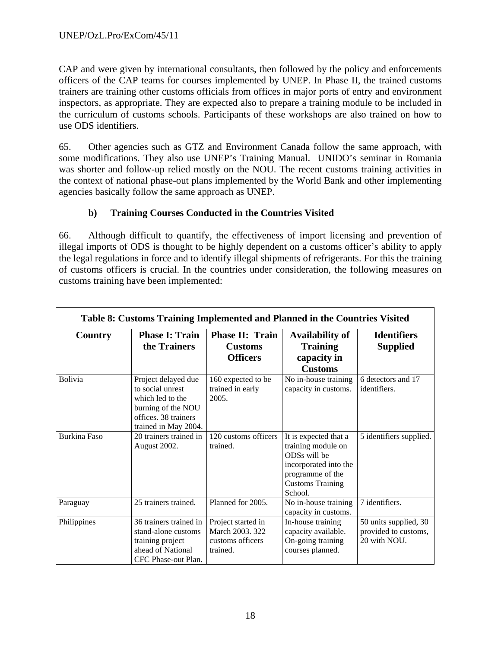CAP and were given by international consultants, then followed by the policy and enforcements officers of the CAP teams for courses implemented by UNEP. In Phase II, the trained customs trainers are training other customs officials from offices in major ports of entry and environment inspectors, as appropriate. They are expected also to prepare a training module to be included in the curriculum of customs schools. Participants of these workshops are also trained on how to use ODS identifiers.

65. Other agencies such as GTZ and Environment Canada follow the same approach, with some modifications. They also use UNEP's Training Manual. UNIDO's seminar in Romania was shorter and follow-up relied mostly on the NOU. The recent customs training activities in the context of national phase-out plans implemented by the World Bank and other implementing agencies basically follow the same approach as UNEP.

## **b) Training Courses Conducted in the Countries Visited**

66. Although difficult to quantify, the effectiveness of import licensing and prevention of illegal imports of ODS is thought to be highly dependent on a customs officer's ability to apply the legal regulations in force and to identify illegal shipments of refrigerants. For this the training of customs officers is crucial. In the countries under consideration, the following measures on customs training have been implemented:

|                     | Table 8: Customs Training Implemented and Planned in the Countries Visited                                                        |                                                                       |                                                                                                                                                |                                                               |
|---------------------|-----------------------------------------------------------------------------------------------------------------------------------|-----------------------------------------------------------------------|------------------------------------------------------------------------------------------------------------------------------------------------|---------------------------------------------------------------|
| Country             | <b>Phase I: Train</b><br>the Trainers                                                                                             | Phase II: Train<br><b>Customs</b><br><b>Officers</b>                  | Availability of<br><b>Training</b><br>capacity in<br><b>Customs</b>                                                                            | <b>Identifiers</b><br><b>Supplied</b>                         |
| Bolivia             | Project delayed due<br>to social unrest<br>which led to the<br>burning of the NOU<br>offices. 38 trainers<br>trained in May 2004. | 160 expected to be<br>trained in early<br>2005.                       | No in-house training<br>capacity in customs.                                                                                                   | 6 detectors and 17<br>identifiers.                            |
| <b>Burkina Faso</b> | 20 trainers trained in<br>August 2002.                                                                                            | 120 customs officers<br>trained.                                      | It is expected that a<br>training module on<br>ODSs will be<br>incorporated into the<br>programme of the<br><b>Customs Training</b><br>School. | 5 identifiers supplied.                                       |
| Paraguay            | 25 trainers trained.                                                                                                              | Planned for 2005.                                                     | No in-house training<br>capacity in customs.                                                                                                   | 7 identifiers.                                                |
| Philippines         | 36 trainers trained in<br>stand-alone customs<br>training project<br>ahead of National<br>CFC Phase-out Plan.                     | Project started in<br>March 2003. 322<br>customs officers<br>trained. | In-house training<br>capacity available.<br>On-going training<br>courses planned.                                                              | 50 units supplied, 30<br>provided to customs,<br>20 with NOU. |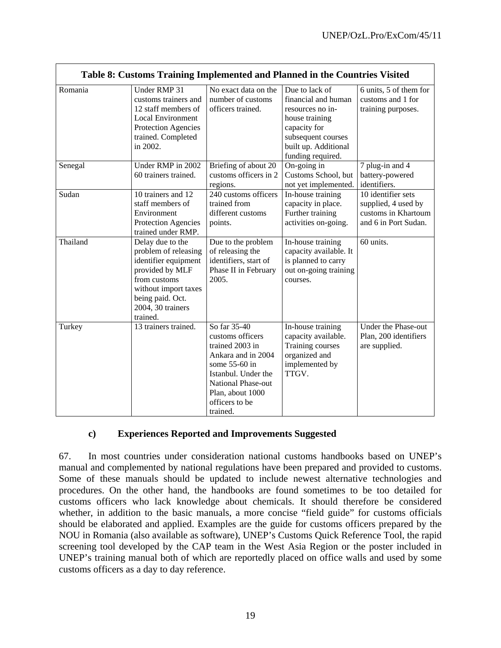|          |                                                                                                                                                                                  |                                                                                                                                                                                           | Table 8: Customs Training Implemented and Planned in the Countries Visited                                                                                     |                                                                                          |
|----------|----------------------------------------------------------------------------------------------------------------------------------------------------------------------------------|-------------------------------------------------------------------------------------------------------------------------------------------------------------------------------------------|----------------------------------------------------------------------------------------------------------------------------------------------------------------|------------------------------------------------------------------------------------------|
| Romania  | Under RMP 31<br>customs trainers and<br>12 staff members of<br><b>Local Environment</b><br>Protection Agencies<br>trained. Completed<br>in 2002.                                 | No exact data on the<br>number of customs<br>officers trained.                                                                                                                            | Due to lack of<br>financial and human<br>resources no in-<br>house training<br>capacity for<br>subsequent courses<br>built up. Additional<br>funding required. | 6 units, 5 of them for<br>customs and 1 for<br>training purposes.                        |
| Senegal  | Under RMP in 2002<br>60 trainers trained.                                                                                                                                        | Briefing of about 20<br>customs officers in 2<br>regions.                                                                                                                                 | On-going in<br>Customs School, but<br>not yet implemented.                                                                                                     | 7 plug-in and 4<br>battery-powered<br>identifiers.                                       |
| Sudan    | 10 trainers and 12<br>staff members of<br>Environment<br>Protection Agencies<br>trained under RMP.                                                                               | 240 customs officers<br>trained from<br>different customs<br>points.                                                                                                                      | In-house training<br>capacity in place.<br>Further training<br>activities on-going.                                                                            | 10 identifier sets<br>supplied, 4 used by<br>customs in Khartoum<br>and 6 in Port Sudan. |
| Thailand | Delay due to the<br>problem of releasing<br>identifier equipment<br>provided by MLF<br>from customs<br>without import taxes<br>being paid. Oct.<br>2004, 30 trainers<br>trained. | Due to the problem<br>of releasing the<br>identifiers, start of<br>Phase II in February<br>2005.                                                                                          | In-house training<br>capacity available. It<br>is planned to carry<br>out on-going training<br>courses.                                                        | 60 units.                                                                                |
| Turkey   | 13 trainers trained.                                                                                                                                                             | So far 35-40<br>customs officers<br>trained 2003 in<br>Ankara and in 2004<br>some 55-60 in<br>Istanbul. Under the<br>National Phase-out<br>Plan, about 1000<br>officers to be<br>trained. | In-house training<br>capacity available.<br>Training courses<br>organized and<br>implemented by<br>TTGV.                                                       | Under the Phase-out<br>Plan, 200 identifiers<br>are supplied.                            |

#### **c) Experiences Reported and Improvements Suggested**

67. In most countries under consideration national customs handbooks based on UNEP's manual and complemented by national regulations have been prepared and provided to customs. Some of these manuals should be updated to include newest alternative technologies and procedures. On the other hand, the handbooks are found sometimes to be too detailed for customs officers who lack knowledge about chemicals. It should therefore be considered whether, in addition to the basic manuals, a more concise "field guide" for customs officials should be elaborated and applied. Examples are the guide for customs officers prepared by the NOU in Romania (also available as software), UNEP's Customs Quick Reference Tool, the rapid screening tool developed by the CAP team in the West Asia Region or the poster included in UNEP's training manual both of which are reportedly placed on office walls and used by some customs officers as a day to day reference.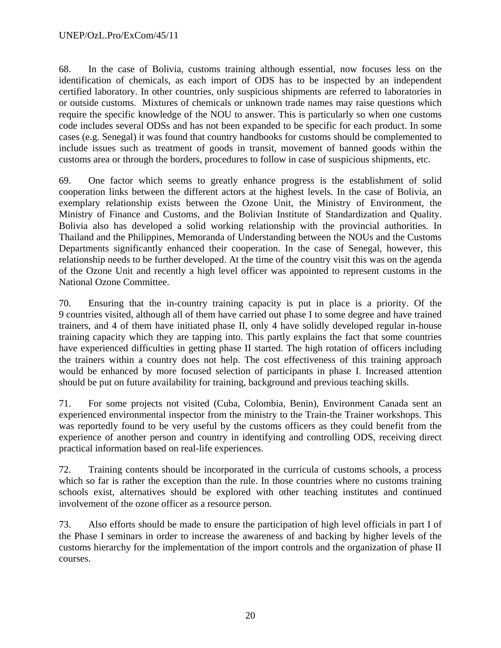68. In the case of Bolivia, customs training although essential, now focuses less on the identification of chemicals, as each import of ODS has to be inspected by an independent certified laboratory. In other countries, only suspicious shipments are referred to laboratories in or outside customs. Mixtures of chemicals or unknown trade names may raise questions which require the specific knowledge of the NOU to answer. This is particularly so when one customs code includes several ODSs and has not been expanded to be specific for each product. In some cases (e.g. Senegal) it was found that country handbooks for customs should be complemented to include issues such as treatment of goods in transit, movement of banned goods within the customs area or through the borders, procedures to follow in case of suspicious shipments, etc.

69. One factor which seems to greatly enhance progress is the establishment of solid cooperation links between the different actors at the highest levels. In the case of Bolivia, an exemplary relationship exists between the Ozone Unit, the Ministry of Environment, the Ministry of Finance and Customs, and the Bolivian Institute of Standardization and Quality. Bolivia also has developed a solid working relationship with the provincial authorities. In Thailand and the Philippines, Memoranda of Understanding between the NOUs and the Customs Departments significantly enhanced their cooperation. In the case of Senegal, however, this relationship needs to be further developed. At the time of the country visit this was on the agenda of the Ozone Unit and recently a high level officer was appointed to represent customs in the National Ozone Committee.

70. Ensuring that the in-country training capacity is put in place is a priority. Of the 9 countries visited, although all of them have carried out phase I to some degree and have trained trainers, and 4 of them have initiated phase II, only 4 have solidly developed regular in-house training capacity which they are tapping into. This partly explains the fact that some countries have experienced difficulties in getting phase II started. The high rotation of officers including the trainers within a country does not help. The cost effectiveness of this training approach would be enhanced by more focused selection of participants in phase I. Increased attention should be put on future availability for training, background and previous teaching skills.

71. For some projects not visited (Cuba, Colombia, Benin), Environment Canada sent an experienced environmental inspector from the ministry to the Train-the Trainer workshops. This was reportedly found to be very useful by the customs officers as they could benefit from the experience of another person and country in identifying and controlling ODS, receiving direct practical information based on real-life experiences.

72. Training contents should be incorporated in the curricula of customs schools, a process which so far is rather the exception than the rule. In those countries where no customs training schools exist, alternatives should be explored with other teaching institutes and continued involvement of the ozone officer as a resource person.

73. Also efforts should be made to ensure the participation of high level officials in part I of the Phase I seminars in order to increase the awareness of and backing by higher levels of the customs hierarchy for the implementation of the import controls and the organization of phase II courses.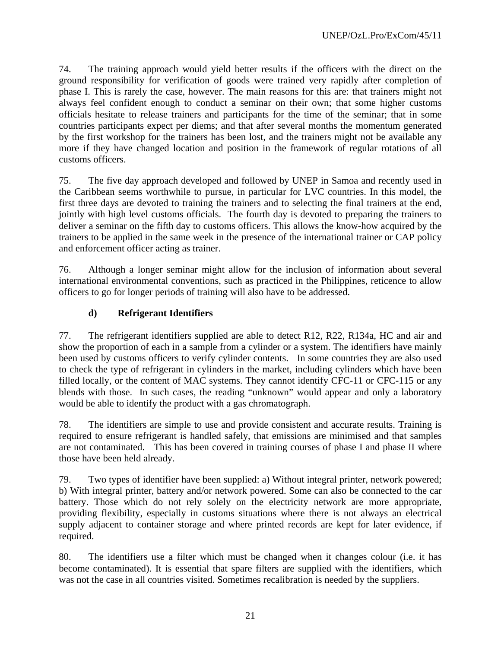74. The training approach would yield better results if the officers with the direct on the ground responsibility for verification of goods were trained very rapidly after completion of phase I. This is rarely the case, however. The main reasons for this are: that trainers might not always feel confident enough to conduct a seminar on their own; that some higher customs officials hesitate to release trainers and participants for the time of the seminar; that in some countries participants expect per diems; and that after several months the momentum generated by the first workshop for the trainers has been lost, and the trainers might not be available any more if they have changed location and position in the framework of regular rotations of all customs officers.

75. The five day approach developed and followed by UNEP in Samoa and recently used in the Caribbean seems worthwhile to pursue, in particular for LVC countries. In this model, the first three days are devoted to training the trainers and to selecting the final trainers at the end, jointly with high level customs officials. The fourth day is devoted to preparing the trainers to deliver a seminar on the fifth day to customs officers. This allows the know-how acquired by the trainers to be applied in the same week in the presence of the international trainer or CAP policy and enforcement officer acting as trainer.

76. Although a longer seminar might allow for the inclusion of information about several international environmental conventions, such as practiced in the Philippines, reticence to allow officers to go for longer periods of training will also have to be addressed.

## **d) Refrigerant Identifiers**

77. The refrigerant identifiers supplied are able to detect R12, R22, R134a, HC and air and show the proportion of each in a sample from a cylinder or a system. The identifiers have mainly been used by customs officers to verify cylinder contents. In some countries they are also used to check the type of refrigerant in cylinders in the market, including cylinders which have been filled locally, or the content of MAC systems. They cannot identify CFC-11 or CFC-115 or any blends with those. In such cases, the reading "unknown" would appear and only a laboratory would be able to identify the product with a gas chromatograph.

78. The identifiers are simple to use and provide consistent and accurate results. Training is required to ensure refrigerant is handled safely, that emissions are minimised and that samples are not contaminated. This has been covered in training courses of phase I and phase II where those have been held already.

79. Two types of identifier have been supplied: a) Without integral printer, network powered; b) With integral printer, battery and/or network powered. Some can also be connected to the car battery. Those which do not rely solely on the electricity network are more appropriate, providing flexibility, especially in customs situations where there is not always an electrical supply adjacent to container storage and where printed records are kept for later evidence, if required.

80. The identifiers use a filter which must be changed when it changes colour (i.e. it has become contaminated). It is essential that spare filters are supplied with the identifiers, which was not the case in all countries visited. Sometimes recalibration is needed by the suppliers.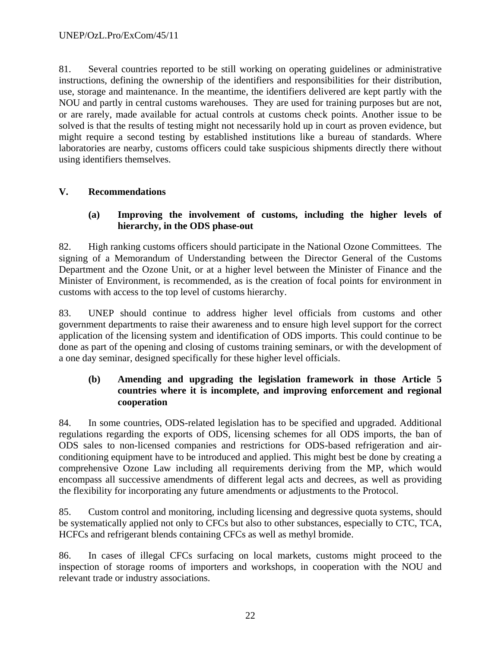81. Several countries reported to be still working on operating guidelines or administrative instructions, defining the ownership of the identifiers and responsibilities for their distribution, use, storage and maintenance. In the meantime, the identifiers delivered are kept partly with the NOU and partly in central customs warehouses. They are used for training purposes but are not, or are rarely, made available for actual controls at customs check points. Another issue to be solved is that the results of testing might not necessarily hold up in court as proven evidence, but might require a second testing by established institutions like a bureau of standards. Where laboratories are nearby, customs officers could take suspicious shipments directly there without using identifiers themselves.

## **V. Recommendations**

#### **(a) Improving the involvement of customs, including the higher levels of hierarchy, in the ODS phase-out**

82. High ranking customs officers should participate in the National Ozone Committees. The signing of a Memorandum of Understanding between the Director General of the Customs Department and the Ozone Unit, or at a higher level between the Minister of Finance and the Minister of Environment, is recommended, as is the creation of focal points for environment in customs with access to the top level of customs hierarchy.

83. UNEP should continue to address higher level officials from customs and other government departments to raise their awareness and to ensure high level support for the correct application of the licensing system and identification of ODS imports. This could continue to be done as part of the opening and closing of customs training seminars, or with the development of a one day seminar, designed specifically for these higher level officials.

#### **(b) Amending and upgrading the legislation framework in those Article 5 countries where it is incomplete, and improving enforcement and regional cooperation**

84. In some countries, ODS-related legislation has to be specified and upgraded. Additional regulations regarding the exports of ODS, licensing schemes for all ODS imports, the ban of ODS sales to non-licensed companies and restrictions for ODS-based refrigeration and airconditioning equipment have to be introduced and applied. This might best be done by creating a comprehensive Ozone Law including all requirements deriving from the MP, which would encompass all successive amendments of different legal acts and decrees, as well as providing the flexibility for incorporating any future amendments or adjustments to the Protocol.

85. Custom control and monitoring, including licensing and degressive quota systems, should be systematically applied not only to CFCs but also to other substances, especially to CTC, TCA, HCFCs and refrigerant blends containing CFCs as well as methyl bromide.

86. In cases of illegal CFCs surfacing on local markets, customs might proceed to the inspection of storage rooms of importers and workshops, in cooperation with the NOU and relevant trade or industry associations.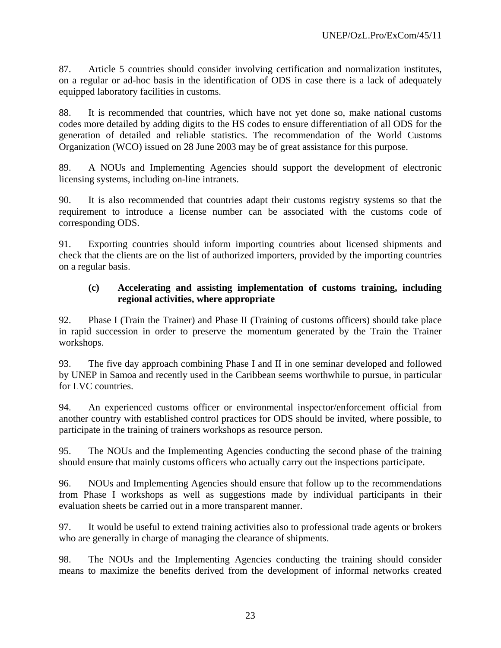87. Article 5 countries should consider involving certification and normalization institutes, on a regular or ad-hoc basis in the identification of ODS in case there is a lack of adequately equipped laboratory facilities in customs.

88. It is recommended that countries, which have not yet done so, make national customs codes more detailed by adding digits to the HS codes to ensure differentiation of all ODS for the generation of detailed and reliable statistics. The recommendation of the World Customs Organization (WCO) issued on 28 June 2003 may be of great assistance for this purpose.

89. A NOUs and Implementing Agencies should support the development of electronic licensing systems, including on-line intranets.

90. It is also recommended that countries adapt their customs registry systems so that the requirement to introduce a license number can be associated with the customs code of corresponding ODS.

91. Exporting countries should inform importing countries about licensed shipments and check that the clients are on the list of authorized importers, provided by the importing countries on a regular basis.

#### **(c) Accelerating and assisting implementation of customs training, including regional activities, where appropriate**

92. Phase I (Train the Trainer) and Phase II (Training of customs officers) should take place in rapid succession in order to preserve the momentum generated by the Train the Trainer workshops.

93. The five day approach combining Phase I and II in one seminar developed and followed by UNEP in Samoa and recently used in the Caribbean seems worthwhile to pursue, in particular for LVC countries.

94. An experienced customs officer or environmental inspector/enforcement official from another country with established control practices for ODS should be invited, where possible, to participate in the training of trainers workshops as resource person.

95. The NOUs and the Implementing Agencies conducting the second phase of the training should ensure that mainly customs officers who actually carry out the inspections participate.

96. NOUs and Implementing Agencies should ensure that follow up to the recommendations from Phase I workshops as well as suggestions made by individual participants in their evaluation sheets be carried out in a more transparent manner.

97. It would be useful to extend training activities also to professional trade agents or brokers who are generally in charge of managing the clearance of shipments.

98. The NOUs and the Implementing Agencies conducting the training should consider means to maximize the benefits derived from the development of informal networks created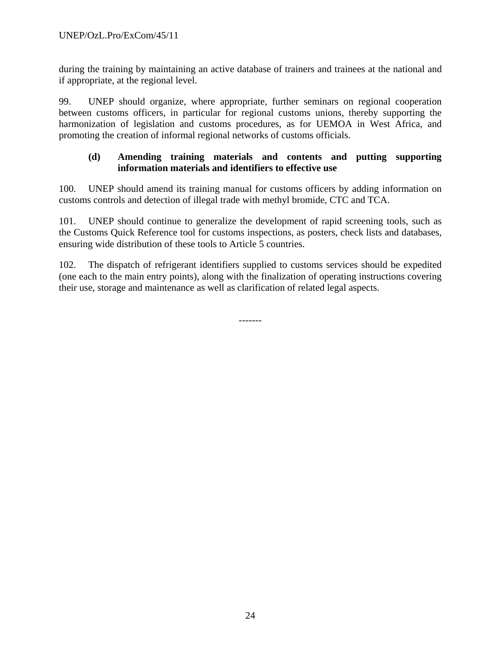during the training by maintaining an active database of trainers and trainees at the national and if appropriate, at the regional level.

99. UNEP should organize, where appropriate, further seminars on regional cooperation between customs officers, in particular for regional customs unions, thereby supporting the harmonization of legislation and customs procedures, as for UEMOA in West Africa, and promoting the creation of informal regional networks of customs officials.

#### **(d) Amending training materials and contents and putting supporting information materials and identifiers to effective use**

100. UNEP should amend its training manual for customs officers by adding information on customs controls and detection of illegal trade with methyl bromide, CTC and TCA.

101. UNEP should continue to generalize the development of rapid screening tools, such as the Customs Quick Reference tool for customs inspections, as posters, check lists and databases, ensuring wide distribution of these tools to Article 5 countries.

102. The dispatch of refrigerant identifiers supplied to customs services should be expedited (one each to the main entry points), along with the finalization of operating instructions covering their use, storage and maintenance as well as clarification of related legal aspects.

-------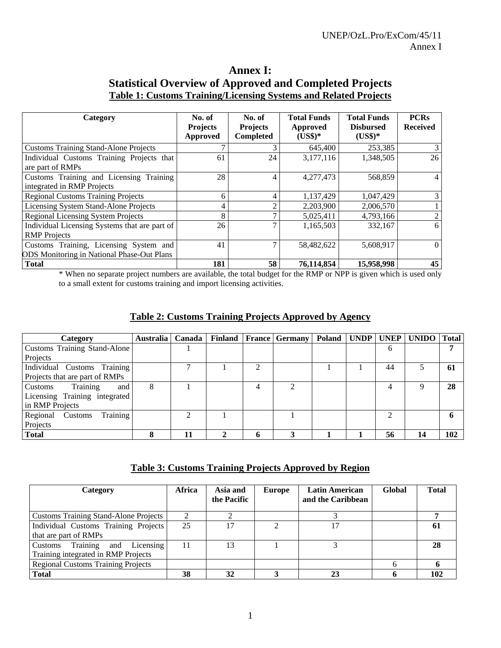## **Annex I: Statistical Overview of Approved and Completed Projects Table 1: Customs Training/Licensing Systems and Related Projects**

| Category                                                                                    | No. of<br><b>Projects</b><br><b>Approved</b> | No. of<br><b>Projects</b><br>Completed | <b>Total Funds</b><br>Approved<br>$(US$)*$ | <b>Total Funds</b><br><b>Disbursed</b><br>$(US$)*$ | <b>PCRs</b><br><b>Received</b> |
|---------------------------------------------------------------------------------------------|----------------------------------------------|----------------------------------------|--------------------------------------------|----------------------------------------------------|--------------------------------|
| <b>Customs Training Stand-Alone Projects</b>                                                |                                              |                                        | 645,400                                    | 253,385                                            |                                |
| Individual Customs Training Projects that<br>are part of RMPs                               | 61                                           | 24                                     | 3,177,116                                  | 1,348,505                                          | 26                             |
| Customs Training and Licensing Training<br>integrated in RMP Projects                       | 28                                           | 4                                      | 4,277,473                                  | 568,859                                            |                                |
| <b>Regional Customs Training Projects</b>                                                   | 6                                            | 4                                      | 1,137,429                                  | 1,047,429                                          |                                |
| Licensing System Stand-Alone Projects                                                       | 4                                            |                                        | 2,203,900                                  | 2,006,570                                          |                                |
| <b>Regional Licensing System Projects</b>                                                   | 8                                            |                                        | 5,025,411                                  | 4,793,166                                          | $\overline{2}$                 |
| Individual Licensing Systems that are part of<br><b>RMP</b> Projects                        | 26                                           |                                        | 1,165,503                                  | 332,167                                            | 6                              |
| Customs Training, Licensing System and<br><b>ODS</b> Monitoring in National Phase-Out Plans | 41                                           |                                        | 58,482,622                                 | 5,608,917                                          | $\Omega$                       |
| <b>Total</b>                                                                                | 181                                          | 58                                     | 76,114,854                                 | 15,958,998                                         | 45                             |

\* When no separate project numbers are available, the total budget for the RMP or NPP is given which is used only to a small extent for customs training and import licensing activities.

## **Table 2: Customs Training Projects Approved by Agency**

| Category                        | Australia   Canada |    |   |   | <b>Finland</b> France Germany | <b>Poland</b> | UNDP   UNEP |    | UNIDO   Total |             |
|---------------------------------|--------------------|----|---|---|-------------------------------|---------------|-------------|----|---------------|-------------|
| Customs Training Stand-Alone    |                    |    |   |   |                               |               |             | 6  |               | 7           |
| Projects                        |                    |    |   |   |                               |               |             |    |               |             |
| Individual Customs Training     |                    |    |   |   |                               |               |             | 44 |               | 61          |
| Projects that are part of RMPs  |                    |    |   |   |                               |               |             |    |               |             |
| Training<br>Customs<br>and      | 8                  |    |   |   | ◠                             |               |             | 4  | Q             | 28          |
| Licensing Training integrated   |                    |    |   |   |                               |               |             |    |               |             |
| in RMP Projects                 |                    |    |   |   |                               |               |             |    |               |             |
| Training<br>Regional<br>Customs |                    | ↑  |   |   |                               |               |             | ∍  |               | $\mathbf b$ |
| Projects                        |                    |    |   |   |                               |               |             |    |               |             |
| <b>Total</b>                    | o                  | 11 | ↑ | h | 2                             |               |             | 56 | 14            | 102         |

#### **Table 3: Customs Training Projects Approved by Region**

| Category                                                                    | Africa | Asia and<br>the Pacific | <b>Europe</b> | <b>Latin American</b><br>and the Caribbean | Global | <b>Total</b> |
|-----------------------------------------------------------------------------|--------|-------------------------|---------------|--------------------------------------------|--------|--------------|
| <b>Customs Training Stand-Alone Projects</b>                                |        |                         |               |                                            |        |              |
| Individual Customs Training Projects<br>that are part of RMPs               | 25     | 17                      | ◠             | 17                                         |        | 61           |
| Training<br>and Licensing<br>Customs<br>Training integrated in RMP Projects | 11     | 13                      |               |                                            |        | 28           |
| <b>Regional Customs Training Projects</b>                                   |        |                         |               |                                            |        |              |
| <b>Total</b>                                                                | 38     | 32                      |               | 23                                         |        | 102          |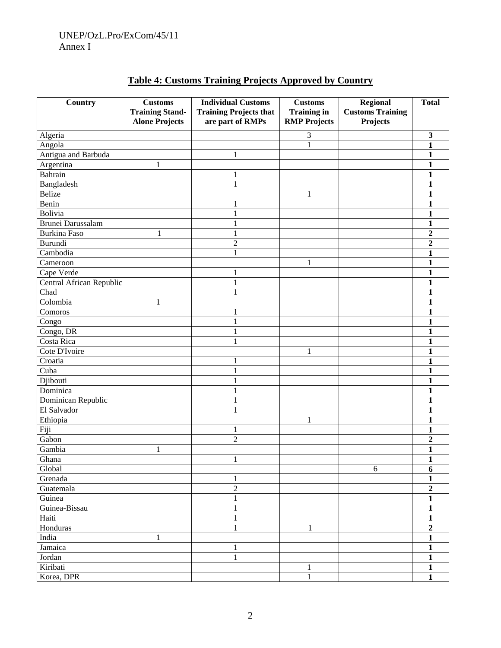| Country                  | <b>Customs</b>         | <b>Individual Customs</b>     | <b>Customs</b>      | <b>Regional</b>         | <b>Total</b>                   |
|--------------------------|------------------------|-------------------------------|---------------------|-------------------------|--------------------------------|
|                          | <b>Training Stand-</b> | <b>Training Projects that</b> | <b>Training in</b>  | <b>Customs Training</b> |                                |
|                          | <b>Alone Projects</b>  | are part of RMPs              | <b>RMP Projects</b> | Projects                |                                |
| Algeria                  |                        |                               | 3                   |                         | $\mathbf{3}$                   |
| Angola                   |                        |                               | $\mathbf{1}$        |                         | $\mathbf{1}$                   |
| Antigua and Barbuda      |                        | 1                             |                     |                         | $\mathbf{1}$                   |
| Argentina                | 1                      |                               |                     |                         | $\mathbf{1}$                   |
| Bahrain                  |                        | 1                             |                     |                         | $\mathbf{1}$                   |
| Bangladesh               |                        | $\mathbf{1}$                  |                     |                         | $\mathbf{1}$                   |
| <b>Belize</b>            |                        |                               | 1                   |                         | $\mathbf{1}$                   |
| Benin                    |                        | 1                             |                     |                         | $\mathbf{1}$                   |
| Bolivia                  |                        | $\mathbf{1}$                  |                     |                         | $\mathbf{1}$                   |
| Brunei Darussalam        |                        | $\mathbf{1}$                  |                     |                         | $\mathbf{1}$                   |
| <b>Burkina Faso</b>      | 1                      | $\mathbf{1}$                  |                     |                         | $\overline{2}$                 |
| Burundi                  |                        | $\overline{c}$                |                     |                         | $\overline{2}$                 |
| Cambodia                 |                        | $\mathbf{1}$                  |                     |                         | $\mathbf{1}$                   |
| Cameroon                 |                        |                               | 1                   |                         | $\mathbf{1}$                   |
| Cape Verde               |                        | 1                             |                     |                         | $\mathbf{1}$                   |
| Central African Republic |                        | $\mathbf{1}$                  |                     |                         | $\mathbf{1}$                   |
| Chad                     |                        | $\mathbf{1}$                  |                     |                         | $\mathbf{1}$                   |
| Colombia                 | 1                      |                               |                     |                         | $\mathbf{1}$                   |
| Comoros                  |                        | 1                             |                     |                         | $\mathbf{1}$                   |
| Congo                    |                        | $\mathbf{1}$                  |                     |                         | $\mathbf{1}$                   |
| Congo, DR                |                        | $\mathbf{1}$                  |                     |                         | $\mathbf{1}$                   |
| Costa Rica               |                        | $\,1$                         |                     |                         | $\mathbf{1}$                   |
| Cote D'Ivoire            |                        |                               | $\mathbf{1}$        |                         | $\mathbf{1}$                   |
| Croatia                  |                        | 1                             |                     |                         | $\mathbf{1}$                   |
| Cuba                     |                        | $\mathbf{1}$                  |                     |                         | $\mathbf{1}$                   |
| Djibouti                 |                        | $\mathbf{1}$                  |                     |                         | $\mathbf{1}$                   |
| Dominica                 |                        | $\mathbf{1}$                  |                     |                         | $\mathbf{1}$                   |
| Dominican Republic       |                        | $\mathbf{1}$                  |                     |                         | $\mathbf{1}$                   |
| El Salvador              |                        | $\mathbf{1}$                  |                     |                         | $\mathbf{1}$                   |
| Ethiopia                 |                        |                               | 1                   |                         | $\mathbf{1}$                   |
| Fiji                     |                        | 1                             |                     |                         | $\mathbf{1}$                   |
| Gabon                    |                        | $\overline{c}$                |                     |                         | $\overline{2}$                 |
| Gambia                   | 1                      |                               |                     |                         | $\mathbf{1}$                   |
| Ghana                    |                        | 1                             |                     |                         | $\mathbf{1}$                   |
| Global                   |                        |                               |                     | 6                       |                                |
|                          |                        |                               |                     |                         | 6                              |
| Grenada                  |                        | $\mathbf{1}$                  |                     |                         | $\mathbf{1}$<br>$\overline{2}$ |
| Guatemala                |                        | $\overline{c}$                |                     |                         |                                |
| Guinea                   |                        | $\,1$                         |                     |                         | $\mathbf{1}$                   |
| Guinea-Bissau            |                        | $\mathbf{1}$                  |                     |                         | $\mathbf{1}$                   |
| Haiti                    |                        | $\,1$                         |                     |                         | $\mathbf{1}$                   |
| Honduras                 |                        | $\mathbf{1}$                  | $\mathbf{1}$        |                         | $\overline{2}$                 |
| India                    | $\mathbf{1}$           |                               |                     |                         | $\mathbf{1}$                   |
| Jamaica                  |                        | $\,1$                         |                     |                         | $\mathbf{1}$                   |
| Jordan                   |                        | $\mathbf{1}$                  |                     |                         | $\mathbf{1}$                   |
| Kiribati                 |                        |                               | $\,1\,$             |                         | $\mathbf{1}$                   |
| Korea, DPR               |                        |                               | $\mathbf{1}$        |                         | $\mathbf{1}$                   |

## **Table 4: Customs Training Projects Approved by Country**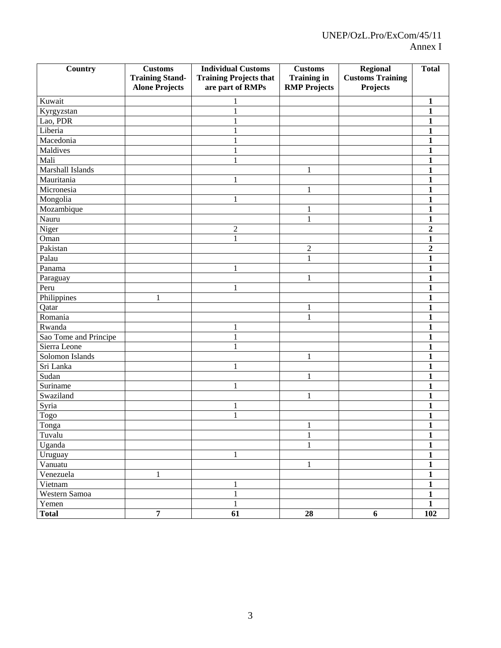| Country               | <b>Customs</b>         | <b>Individual Customs</b>     | <b>Customs</b>      | <b>Regional</b>         | <b>Total</b>            |
|-----------------------|------------------------|-------------------------------|---------------------|-------------------------|-------------------------|
|                       | <b>Training Stand-</b> | <b>Training Projects that</b> | <b>Training in</b>  | <b>Customs Training</b> |                         |
|                       | <b>Alone Projects</b>  | are part of RMPs              | <b>RMP Projects</b> | Projects                |                         |
| Kuwait                |                        | 1                             |                     |                         | $\mathbf{1}$            |
| Kyrgyzstan            |                        | $\mathbf{1}$                  |                     |                         | $\mathbf{1}$            |
| Lao, PDR              |                        | $\mathbf{1}$                  |                     |                         | $\mathbf{1}$            |
| Liberia               |                        | $\mathbf{1}$                  |                     |                         | $\mathbf{1}$            |
| Macedonia             |                        | $\mathbf{1}$                  |                     |                         | $\mathbf{1}$            |
| Maldives              |                        | $\mathbf{1}$                  |                     |                         | $\mathbf{1}$            |
| Mali                  |                        | $\mathbf{1}$                  |                     |                         | $\mathbf{1}$            |
| Marshall Islands      |                        |                               | $\mathbf{1}$        |                         | $\mathbf{1}$            |
| Mauritania            |                        | 1                             |                     |                         | $\mathbf{1}$            |
| Micronesia            |                        |                               | $\mathbf{1}$        |                         | $\mathbf{1}$            |
| Mongolia              |                        | $\mathbf{1}$                  |                     |                         | $\mathbf{1}$            |
| Mozambique            |                        |                               | 1                   |                         | $\mathbf{1}$            |
| Nauru                 |                        |                               | $\mathbf{1}$        |                         | $\mathbf{1}$            |
| Niger                 |                        | $\overline{c}$                |                     |                         | $\overline{2}$          |
| Oman                  |                        | $\mathbf{1}$                  |                     |                         | $\mathbf{1}$            |
| Pakistan              |                        |                               | $\sqrt{2}$          |                         | $\overline{2}$          |
| Palau                 |                        |                               | $\mathbf{1}$        |                         | $\mathbf{1}$            |
| Panama                |                        | 1                             |                     |                         | $\mathbf{1}$            |
| Paraguay              |                        |                               | 1                   |                         | $\mathbf{1}$            |
| Peru                  |                        | 1                             |                     |                         | $\mathbf{1}$            |
| Philippines           | $\mathbf{1}$           |                               |                     |                         | $\mathbf{1}$            |
| Qatar                 |                        |                               | 1                   |                         | $\mathbf{1}$            |
| Romania               |                        |                               | $\mathbf{1}$        |                         | $\mathbf{1}$            |
| Rwanda                |                        | 1                             |                     |                         | $\mathbf{1}$            |
| Sao Tome and Principe |                        | $\mathbf{1}$                  |                     |                         | $\mathbf{1}$            |
| Sierra Leone          |                        | $\mathbf{1}$                  |                     |                         | $\mathbf{1}$            |
| Solomon Islands       |                        |                               | $\mathbf{1}$        |                         | $\mathbf{1}$            |
| Sri Lanka             |                        | $\mathbf{1}$                  |                     |                         | $\mathbf{1}$            |
| Sudan                 |                        |                               | $\mathbf{1}$        |                         | $\mathbf{1}$            |
| Suriname              |                        | 1                             |                     |                         | $\mathbf{1}$            |
| Swaziland             |                        |                               | $\mathbf{1}$        |                         | $\mathbf{1}$            |
| Syria                 |                        | 1                             |                     |                         | $\mathbf{1}$            |
| Togo                  |                        | $\mathbf{1}$                  |                     |                         | $\mathbf{1}$            |
| $\overline{T}$ onga   |                        |                               | $\mathbf{1}$        |                         | $\mathbf{1}$            |
| Tuvalu                |                        |                               | $\,1\,$             |                         | $\mathbf 1$             |
| Uganda                |                        |                               | $\mathbf{1}$        |                         | $\overline{\mathbf{1}}$ |
| Uruguay               |                        | $\mathbf{1}$                  |                     |                         | $\overline{1}$          |
| Vanuatu               |                        |                               | $\mathbf{1}$        |                         | $\overline{\mathbf{1}}$ |
| Venezuela             | $\mathbf{1}$           |                               |                     |                         | $\overline{1}$          |
| Vietnam               |                        | $\mathbf{1}$                  |                     |                         | $\overline{\mathbf{1}}$ |
| Western Samoa         |                        | $\mathbf{1}$                  |                     |                         | $\overline{1}$          |
| Yemen                 |                        | $\mathbf{1}$                  |                     |                         | $\overline{1}$          |
| <b>Total</b>          | $\overline{7}$         | $\overline{61}$               | 28                  | 6                       | <b>102</b>              |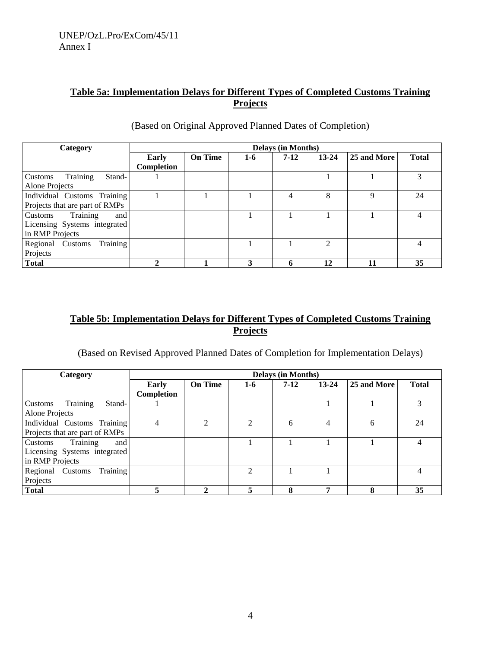## **Table 5a: Implementation Delays for Different Types of Completed Customs Training Projects**

| Category                       |                   |                |     | <b>Delays (in Months)</b> |           |             |              |
|--------------------------------|-------------------|----------------|-----|---------------------------|-----------|-------------|--------------|
|                                | Early             | <b>On Time</b> | 1-6 | $7 - 12$                  | $13 - 24$ | 25 and More | <b>Total</b> |
|                                | <b>Completion</b> |                |     |                           |           |             |              |
| Training<br>Stand-<br>Customs  |                   |                |     |                           |           |             | 3            |
| Alone Projects                 |                   |                |     |                           |           |             |              |
| Individual Customs Training    |                   |                |     | 4                         | 8         | $\mathbf Q$ | 24           |
| Projects that are part of RMPs |                   |                |     |                           |           |             |              |
| Training<br>Customs<br>and     |                   |                |     |                           |           |             | 4            |
| Licensing Systems integrated   |                   |                |     |                           |           |             |              |
| in RMP Projects                |                   |                |     |                           |           |             |              |
| Training<br>Regional Customs   |                   |                |     |                           | 2         |             |              |
| Projects                       |                   |                |     |                           |           |             |              |
| <b>Total</b>                   |                   |                | 3   | 6                         | 12        |             | 35           |

## (Based on Original Approved Planned Dates of Completion)

## **Table 5b: Implementation Delays for Different Types of Completed Customs Training Projects**

(Based on Revised Approved Planned Dates of Completion for Implementation Delays)

| Category                       |                   |                |                | <b>Delays (in Months)</b> |           |             |              |
|--------------------------------|-------------------|----------------|----------------|---------------------------|-----------|-------------|--------------|
|                                | Early             | <b>On Time</b> | 1-6            | $7-12$                    | $13 - 24$ | 25 and More | <b>Total</b> |
|                                | <b>Completion</b> |                |                |                           |           |             |              |
| Training<br>Stand-<br>Customs  |                   |                |                |                           |           |             | 3            |
| Alone Projects                 |                   |                |                |                           |           |             |              |
| Individual Customs Training    | 4                 | $\mathfrak{D}$ | $\mathfrak{D}$ | 6                         | 4         | 6           | 24           |
| Projects that are part of RMPs |                   |                |                |                           |           |             |              |
| Training<br>Customs<br>and     |                   |                |                |                           |           |             | 4            |
| Licensing Systems integrated   |                   |                |                |                           |           |             |              |
| in RMP Projects                |                   |                |                |                           |           |             |              |
| Training<br>Regional Customs   |                   |                | $\mathfrak{D}$ |                           |           |             | 4            |
| Projects                       |                   |                |                |                           |           |             |              |
| <b>Total</b>                   |                   |                | 5              | 8                         | -         | 8           | 35           |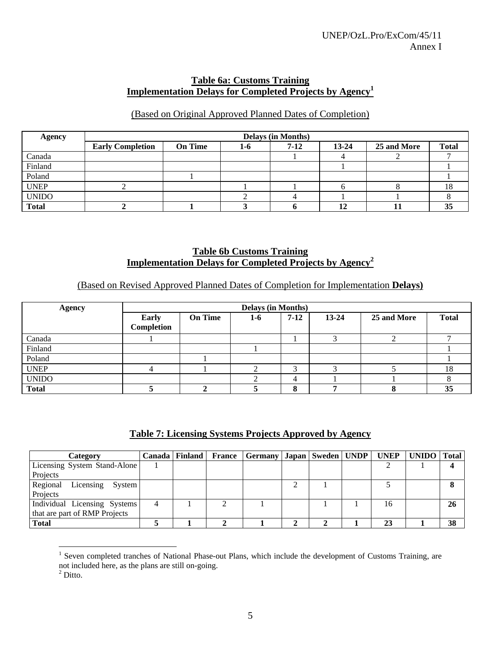#### **Table 6a: Customs Training Implementation Delays for Completed Projects by Agency<sup>1</sup>**

## (Based on Original Approved Planned Dates of Completion)

| <b>Agency</b> |                         | <b>Delays (in Months)</b> |     |        |           |             |              |  |  |
|---------------|-------------------------|---------------------------|-----|--------|-----------|-------------|--------------|--|--|
|               | <b>Early Completion</b> | <b>On Time</b>            | 1-6 | $7-12$ | $13 - 24$ | 25 and More | <b>Total</b> |  |  |
| Canada        |                         |                           |     |        |           |             |              |  |  |
| Finland       |                         |                           |     |        |           |             |              |  |  |
| Poland        |                         |                           |     |        |           |             |              |  |  |
| <b>UNEP</b>   |                         |                           |     |        |           |             | 18           |  |  |
| <b>UNIDO</b>  |                         |                           |     |        |           |             |              |  |  |
| <b>Total</b>  |                         |                           |     |        | ┸         |             | JЭ           |  |  |

#### **Table 6b Customs Training Implementation Delays for Completed Projects by Agency<sup>2</sup>**

## (Based on Revised Approved Planned Dates of Completion for Implementation **Delays)**

| <b>Agency</b> |                            | <b>Delays (in Months)</b> |       |        |           |             |              |  |  |  |
|---------------|----------------------------|---------------------------|-------|--------|-----------|-------------|--------------|--|--|--|
|               | <b>Early</b><br>Completion | <b>On Time</b>            | $1-6$ | $7-12$ | $13 - 24$ | 25 and More | <b>Total</b> |  |  |  |
| Canada        |                            |                           |       |        |           |             |              |  |  |  |
| Finland       |                            |                           |       |        |           |             |              |  |  |  |
| Poland        |                            |                           |       |        |           |             |              |  |  |  |
| <b>UNEP</b>   |                            |                           |       |        |           |             | 18           |  |  |  |
| <b>UNIDO</b>  |                            |                           |       |        |           |             |              |  |  |  |
| <b>Total</b>  |                            |                           |       |        |           |             | 35           |  |  |  |

## **Table 7: Licensing Systems Projects Approved by Agency**

| Category                      |  | Canada   Finland   France   Germany   Japan   Sweden   UNDP   UNEP   UNIDO   Total |  |    |    |
|-------------------------------|--|------------------------------------------------------------------------------------|--|----|----|
| Licensing System Stand-Alone  |  |                                                                                    |  |    |    |
| Projects                      |  |                                                                                    |  |    |    |
| Regional Licensing System     |  |                                                                                    |  |    |    |
| Projects                      |  |                                                                                    |  |    |    |
| Individual Licensing Systems  |  |                                                                                    |  | 16 | 26 |
| that are part of RMP Projects |  |                                                                                    |  |    |    |
| <b>Total</b>                  |  |                                                                                    |  | 23 | 38 |

 $\overline{a}$ <sup>1</sup> Seven completed tranches of National Phase-out Plans, which include the development of Customs Training, are

not included here, as the plans are still on-going.

 $2$  Ditto.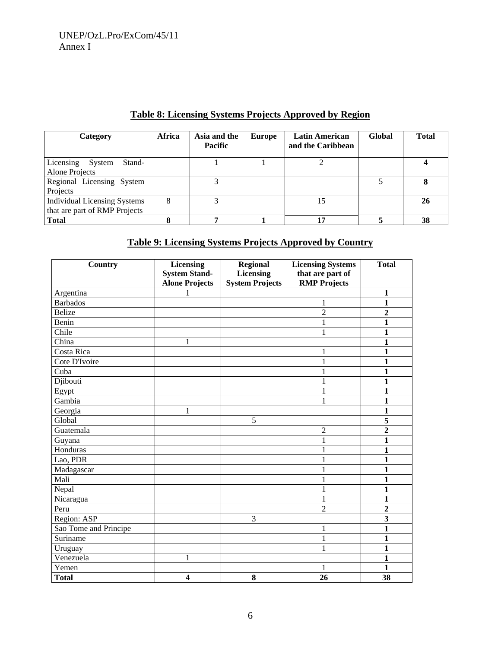## **Table 8: Licensing Systems Projects Approved by Region**

| Category                                                      | Africa | Asia and the<br>Pacific | <b>Europe</b> | <b>Latin American</b><br>and the Caribbean | Global | <b>Total</b> |
|---------------------------------------------------------------|--------|-------------------------|---------------|--------------------------------------------|--------|--------------|
| Licensing<br>Stand-<br>System<br>Alone Projects               |        |                         |               |                                            |        |              |
| Regional Licensing System<br>Projects                         |        |                         |               |                                            |        |              |
| Individual Licensing Systems<br>that are part of RMP Projects | 8      |                         |               | 15                                         |        | 26           |
| <b>Total</b>                                                  |        |                         |               | 17                                         |        | 38           |

## **Table 9: Licensing Systems Projects Approved by Country**

| Country               | <b>Licensing</b>        | <b>Regional</b>        | <b>Licensing Systems</b> | <b>Total</b>            |
|-----------------------|-------------------------|------------------------|--------------------------|-------------------------|
|                       | <b>System Stand-</b>    | <b>Licensing</b>       | that are part of         |                         |
|                       | <b>Alone Projects</b>   | <b>System Projects</b> | <b>RMP Projects</b>      |                         |
| Argentina             | 1                       |                        |                          | 1                       |
| <b>Barbados</b>       |                         |                        | 1                        | 1                       |
| <b>Belize</b>         |                         |                        | $\overline{c}$           | $\overline{2}$          |
| Benin                 |                         |                        | 1                        | 1                       |
| Chile                 |                         |                        | $\mathbf{1}$             | $\mathbf{1}$            |
| China                 | 1                       |                        |                          | 1                       |
| Costa Rica            |                         |                        | 1                        | 1                       |
| Cote D'Ivoire         |                         |                        | $\mathbf{1}$             | 1                       |
| Cuba                  |                         |                        | $\mathbf{1}$             | 1                       |
| Djibouti              |                         |                        | 1                        | 1                       |
| Egypt                 |                         |                        | 1                        | 1                       |
| Gambia                |                         |                        | 1                        | 1                       |
| Georgia               | $\mathbf{1}$            |                        |                          | $\mathbf{1}$            |
| Global                |                         | 5                      |                          | 5                       |
| Guatemala             |                         |                        | $\overline{2}$           | $\overline{2}$          |
| Guyana                |                         |                        | $\mathbf{1}$             | 1                       |
| Honduras              |                         |                        | 1                        | 1                       |
| Lao, PDR              |                         |                        |                          | 1                       |
| Madagascar            |                         |                        | 1                        | 1                       |
| Mali                  |                         |                        | $\mathbf{1}$             | 1                       |
| Nepal                 |                         |                        | $\mathbf{1}$             | 1                       |
| Nicaragua             |                         |                        | $\mathbf{1}$             | 1                       |
| Peru                  |                         |                        | $\overline{2}$           | $\overline{2}$          |
| Region: ASP           |                         | 3                      |                          | $\overline{\mathbf{3}}$ |
| Sao Tome and Principe |                         |                        | 1                        | $\mathbf{1}$            |
| Suriname              |                         |                        | $\mathbf{1}$             | 1                       |
| Uruguay               |                         |                        | 1                        | 1                       |
| Venezuela             | $\mathbf{1}$            |                        |                          | 1                       |
| Yemen                 |                         |                        | 1                        | 1                       |
| <b>Total</b>          | $\overline{\mathbf{4}}$ | 8                      | 26                       | 38                      |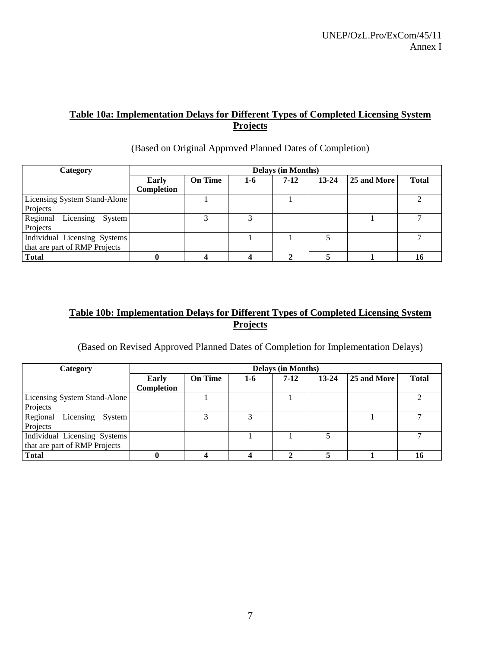## **Table 10a: Implementation Delays for Different Types of Completed Licensing System Projects**

| Category                        |              |                |     | <b>Delays (in Months)</b> |           |             |              |
|---------------------------------|--------------|----------------|-----|---------------------------|-----------|-------------|--------------|
|                                 | <b>Early</b> | <b>On Time</b> | 1-6 | $7 - 12$                  | $13 - 24$ | 25 and More | <b>Total</b> |
|                                 | Completion   |                |     |                           |           |             |              |
| Licensing System Stand-Alone    |              |                |     |                           |           |             |              |
| Projects                        |              |                |     |                           |           |             |              |
| Regional<br>Licensing<br>System |              |                |     |                           |           |             |              |
| Projects                        |              |                |     |                           |           |             |              |
| Individual Licensing Systems    |              |                |     |                           |           |             |              |
| that are part of RMP Projects   |              |                |     |                           |           |             |              |
| <b>Total</b>                    |              |                |     |                           |           |             |              |

#### (Based on Original Approved Planned Dates of Completion)

## **Table 10b: Implementation Delays for Different Types of Completed Licensing System Projects**

(Based on Revised Approved Planned Dates of Completion for Implementation Delays)

| Category                        | <b>Delays (in Months)</b> |                |     |          |           |             |              |  |  |  |  |
|---------------------------------|---------------------------|----------------|-----|----------|-----------|-------------|--------------|--|--|--|--|
|                                 | Early<br>Completion       | <b>On Time</b> | 1-6 | $7 - 12$ | $13 - 24$ | 25 and More | <b>Total</b> |  |  |  |  |
| Licensing System Stand-Alone    |                           |                |     |          |           |             |              |  |  |  |  |
| Projects                        |                           |                |     |          |           |             |              |  |  |  |  |
| Regional<br>Licensing<br>System |                           | 2              | 3   |          |           |             |              |  |  |  |  |
| Projects                        |                           |                |     |          |           |             |              |  |  |  |  |
| Individual Licensing Systems    |                           |                |     |          |           |             |              |  |  |  |  |
| that are part of RMP Projects   |                           |                |     |          |           |             |              |  |  |  |  |
| <b>Total</b>                    |                           |                |     |          |           |             | 16           |  |  |  |  |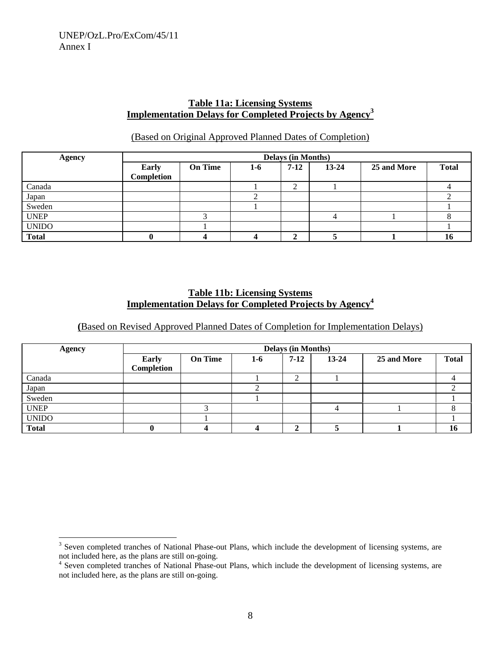## **Table 11a: Licensing Systems Implementation Delays for Completed Projects by Agency<sup>3</sup>**

#### (Based on Original Approved Planned Dates of Completion)

| <b>Agency</b> |            |                |     | <b>Delays (in Months)</b> |           |             |              |
|---------------|------------|----------------|-----|---------------------------|-----------|-------------|--------------|
|               | Early      | <b>On Time</b> | 1-6 | $7-12$                    | $13 - 24$ | 25 and More | <b>Total</b> |
|               | Completion |                |     |                           |           |             |              |
| Canada        |            |                |     | $\sim$<br>∠               |           |             |              |
| Japan         |            |                |     |                           |           |             |              |
| Sweden        |            |                |     |                           |           |             |              |
| <b>UNEP</b>   |            |                |     |                           |           |             |              |
| <b>UNIDO</b>  |            |                |     |                           |           |             |              |
| <b>Total</b>  |            |                |     | ◠<br>∸                    |           |             |              |

#### **Table 11b: Licensing Systems Implementation Delays for Completed Projects by Agency<sup>4</sup>**

**(**Based on Revised Approved Planned Dates of Completion for Implementation Delays)

| <b>Agency</b> |                            |                |     | <b>Delays (in Months)</b> |           |             |              |
|---------------|----------------------------|----------------|-----|---------------------------|-----------|-------------|--------------|
|               | <b>Early</b><br>Completion | <b>On Time</b> | 1-6 | $7-12$                    | $13 - 24$ | 25 and More | <b>Total</b> |
| Canada        |                            |                |     | ◠<br>∼                    |           |             |              |
| Japan         |                            |                |     |                           |           |             |              |
| Sweden        |                            |                |     |                           |           |             |              |
| <b>UNEP</b>   |                            | $\bigcap$      |     |                           | 4         |             |              |
| <b>UNIDO</b>  |                            |                |     |                           |           |             |              |
| <b>Total</b>  |                            |                |     | ◠                         |           |             | 10           |

<sup>&</sup>lt;sup>3</sup> Seven completed tranches of National Phase-out Plans, which include the development of licensing systems, are not included here, as the plans are still on-going.

<sup>&</sup>lt;sup>4</sup> Seven completed tranches of National Phase-out Plans, which include the development of licensing systems, are not included here, as the plans are still on-going.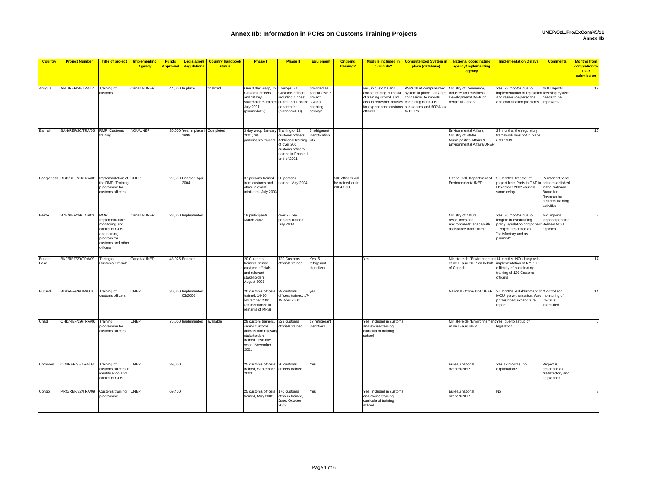| <b>Country</b>         | <b>Project Number</b>                               | <b>Title of project</b>                                                                                                          | <b>Implementing</b><br><b>Agency</b> | <b>Funds</b><br><b>Approved</b> | <b>Legislation/</b><br>Regulations        | <b>Country handbook</b><br>status | <b>Phase I</b>                                                                                                                                          | <b>Phase II</b>                                                                                                      | Equipment                                                       | <b>Ongoing</b><br>training?                        | <b>Module included in</b><br>curricula?                                                                                                 | <b>Computerized System in</b><br>place (database)                                                                                          | <b>National coordinating</b><br>agency/implementing                                                     | <b>Implementation Delays</b>                                                                                                               | <b>Comments</b>                                                                                  | <b>Months from</b><br>completion to |
|------------------------|-----------------------------------------------------|----------------------------------------------------------------------------------------------------------------------------------|--------------------------------------|---------------------------------|-------------------------------------------|-----------------------------------|---------------------------------------------------------------------------------------------------------------------------------------------------------|----------------------------------------------------------------------------------------------------------------------|-----------------------------------------------------------------|----------------------------------------------------|-----------------------------------------------------------------------------------------------------------------------------------------|--------------------------------------------------------------------------------------------------------------------------------------------|---------------------------------------------------------------------------------------------------------|--------------------------------------------------------------------------------------------------------------------------------------------|--------------------------------------------------------------------------------------------------|-------------------------------------|
|                        |                                                     |                                                                                                                                  |                                      |                                 |                                           |                                   |                                                                                                                                                         |                                                                                                                      |                                                                 |                                                    |                                                                                                                                         |                                                                                                                                            | agency                                                                                                  |                                                                                                                                            |                                                                                                  | <b>PCR</b><br>submission            |
|                        |                                                     |                                                                                                                                  |                                      |                                 |                                           |                                   |                                                                                                                                                         |                                                                                                                      |                                                                 |                                                    |                                                                                                                                         |                                                                                                                                            |                                                                                                         |                                                                                                                                            |                                                                                                  |                                     |
| Antigua                | ANT/REF/26/TRA/04                                   | Training of<br>customs                                                                                                           | Canada/UNEP                          |                                 | 44,000 In place                           | finalized                         | One 3 day wsop, 12 5 wsops, 81<br>Customs officers<br>and 10 key<br>stakeholders trained guard and 1 police "Global<br><b>July 2001</b><br>(planned=22) | Customs officers<br>including 1 coast<br>department<br>(planned=100)                                                 | provided as<br>part of UNEF<br>project<br>enabling<br>activity" |                                                    | ves, in customs and<br>excise training curricula<br>of training school, and<br>also in refresher courses containing non ODS<br>officers | ASYCUDA computerized<br>system in place. Duty free<br>concesions to imports<br>for experienced customs substances and 500% tax<br>to CFC's | Ministry of Commerce.<br>Industry and Business<br>Development/UNEP on<br>behalf of Canada               | Yes, 23 months due to<br>implementation of legislation licensing system<br>and ressource/personnel<br>and coordination problems improved?  | <b>NOU reports</b><br>needs to be                                                                | 12                                  |
| Bahrain                | BAH/REF/26/TRA/06 RMP: Customs                      | training                                                                                                                         | NOU/UNEP                             |                                 | 30,000 Yes, in place in Completed<br>1999 |                                   | 3 day wsop January Training of 12<br>2001.30<br>participants trained                                                                                    | ustoms officers.<br>Additional training kits<br>of over 200<br>customs officers<br>trained in Phase I<br>end of 2001 | 3 refrigerant<br>identification                                 |                                                    |                                                                                                                                         |                                                                                                                                            | Environmental Affairs.<br>Ministry of States,<br>Municipalities Affairs &<br>Environmental Affairs/UNEP | 24 months, the regulatory<br>framework was not in place<br>until 1999                                                                      |                                                                                                  |                                     |
|                        | Bangladesh BGD/REF/29/TRA/08 Implemantation of UNEP | the RMP: Training<br>programme for<br>customs officers                                                                           |                                      |                                 | 22,500 Enacted April<br>2004              |                                   | 37 persons trained 50 persons<br>from customs and<br>other relevant<br>ministries. July 2003                                                            | trained. May 2004                                                                                                    |                                                                 | 500 officers will<br>be trained durin<br>2004-2008 |                                                                                                                                         |                                                                                                                                            | Ozone Cell, Department of<br>Environement/UNEP                                                          | 56 months, transfer of<br>project from Paris to CAP in point established<br>December 2002 caused<br>some delay                             | Permanent focal<br>in the National<br>Board for<br>Revenue for<br>customs training<br>activities |                                     |
| Belize                 | BZE/REF/29/TAS/03                                   | <b>RMP</b><br>Implementation:<br>monitoring and<br>control of ODS<br>and training<br>program for<br>customs and othe<br>officers | Canada/UNEP                          |                                 | 28,000 Implemented                        |                                   | 18 participants<br>March 2002,                                                                                                                          | over 75 key<br>persons trained<br><b>July 2003</b>                                                                   |                                                                 |                                                    |                                                                                                                                         |                                                                                                                                            | Ministry of natural<br>ressources and<br>environment/Canada with<br>assistance from UNEP                | Yes, 30 months due to<br>lenghth in establishing<br>policy legislation compone<br>Project described as<br>'satisfactory and as<br>planned" | two imports<br>stopped pending<br>Belize's NOU<br>approval                                       |                                     |
| <b>Burkina</b><br>Faso | BKF/REF/29/TRA/09                                   | Trining of<br>Customs Officials                                                                                                  | Canada/UNEP                          |                                 | 48.025 Enacted                            |                                   | 20 Customs<br>trainers, senior<br>customs officials<br>and relevant<br>stakeholders.<br>August 2001                                                     | 120 Customs<br>officials trained                                                                                     | Yes, 5<br>refrigerant<br>identifiers                            |                                                    | Yes                                                                                                                                     |                                                                                                                                            | Ministere de l'Environnement 14 months, NOU busy with<br>et de l'Eau/UNEP on behalf<br>of Canada        | implementation of RMP +<br>difficulty of coordinating<br>training of 120 Customs<br>officers                                               |                                                                                                  |                                     |
| Burundi                | BDI/REF/26/TRA/03                                   | Training of<br>customs officers                                                                                                  | <b>UNEP</b>                          |                                 | 30,000 Implemented<br>03/2000             |                                   | 20 customs officers<br>rained, 14-16<br>November 2001.<br>(25 mentioned in<br>remarks of MFS)                                                           | 29 customs<br>officers trained, 17<br>19 April 2002                                                                  | yes                                                             |                                                    |                                                                                                                                         |                                                                                                                                            | National Ozone Unit/UNEP                                                                                | 26 months, establishment of<br>MOU, pb w/translation. Also<br>pb w/signed expenditure<br>report                                            | "Control and<br>monitoring of<br>CFCs is<br>intensified"                                         | 14                                  |
| Chad                   | CHD/REF/29/TRA/06                                   | Training<br>programme for<br>customs officers                                                                                    | <b>UNEP</b>                          |                                 | 75,000 Implemented                        | available                         | 29 custom trainers,<br>senior customs<br>officials and relevany<br>stakeholders<br>trained. Two day<br>wsop, November<br>2001                           | 322 customs<br>officials trained                                                                                     | 17 refrigeran<br>identifiers                                    |                                                    | Yes, included in customs<br>and excise training<br>curricula of training<br>school                                                      |                                                                                                                                            | Ministere de l'Environnement Yes, due to set up of<br>et de l'Eau/UNEP                                  | egislation                                                                                                                                 |                                                                                                  |                                     |
| Comoros                | COI/REF/35/TRA/08                                   | Training of<br>customs officers i<br>dentification and<br>control of ODS                                                         | <b>UNEP</b>                          | 39,000                          |                                           |                                   | 25 customs officers 30 customs<br>trained, September officers trained<br>2003                                                                           |                                                                                                                      | Yes                                                             |                                                    |                                                                                                                                         |                                                                                                                                            | Bureau national<br>ozone/UNEP                                                                           | Yes 17 months, no<br>explanation?                                                                                                          | Project is<br>described as<br>"satisfactory and<br>as planned"                                   |                                     |
| Congo                  | PRC/REF/32/TRA/09 Customs training                  | programme                                                                                                                        | <b>UNEP</b>                          | 69,400                          |                                           |                                   | 25 customs officers<br>trained, May 2002                                                                                                                | 170 customs<br>fficers trained,<br>June, October<br>2003                                                             | Yes                                                             |                                                    | Yes, included in customs<br>and excise training<br>curricula of training<br>school                                                      |                                                                                                                                            | Bureau national<br>ozone/UNEP                                                                           | No                                                                                                                                         |                                                                                                  |                                     |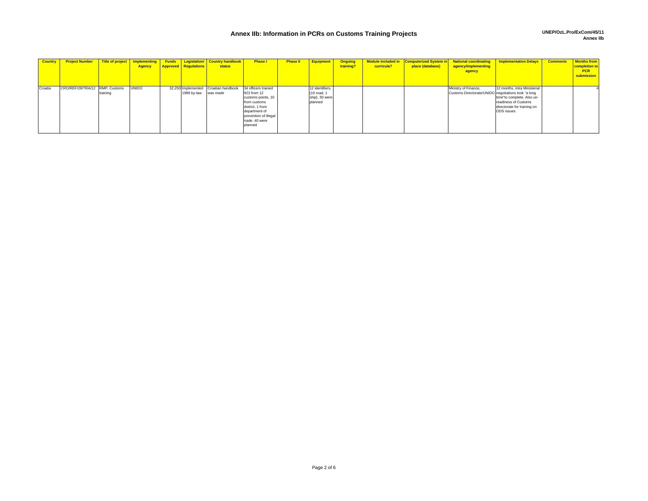## **Annex IIb: Information in PCRs on Customs Training Projects UNEP/OzL.Pro/ExCom/45/11 Annex IIb**

| <b>Country</b> | <b>Project Number</b>          |          | Title of project   Implementing<br><b>Agency</b> | <b>Approved Regulations</b>       | <b>Funds</b> Legislation/ Country handbook<br><b>status</b> | <b>Phase I</b>                                                                                                                                                      | <b>Phase II</b> | <b>Equipment</b>                                            | <b>Ongoing</b><br>training? | Module included in<br>curricula? | place (database) | Computerized System in National coordinating<br>agency/implementing<br>agency | <b>Implementation Delays</b>                                                                                                    | <b>Comments</b> | <b>Months from</b><br>completion to<br><b>PCR</b><br>submission |
|----------------|--------------------------------|----------|--------------------------------------------------|-----------------------------------|-------------------------------------------------------------|---------------------------------------------------------------------------------------------------------------------------------------------------------------------|-----------------|-------------------------------------------------------------|-----------------------------|----------------------------------|------------------|-------------------------------------------------------------------------------|---------------------------------------------------------------------------------------------------------------------------------|-----------------|-----------------------------------------------------------------|
| Croatia        | CRO/REF/28/TRA/12 RMP: Customs | training | <b>UNIDO</b>                                     | 32.250 Implemented<br>1999 by-law | Croatian handbook<br>was made                               | 34 officers trained<br>923 from 12<br>customs points, 10<br>from customs<br>district, 1 from<br>department of<br>prevention of illegal<br>trade. 40 were<br>planned |                 | 12 identifiers.<br>(10 road, 1<br>ship). 30 were<br>planned |                             |                                  |                  | Ministry of Finance,<br>Customs Directorate/UNIDO negotiations took "a long   | 12 months, intra Ministerial<br>time"to complete. Also un-<br>readiness of Customs<br>directorate for training on<br>ODS issues |                 |                                                                 |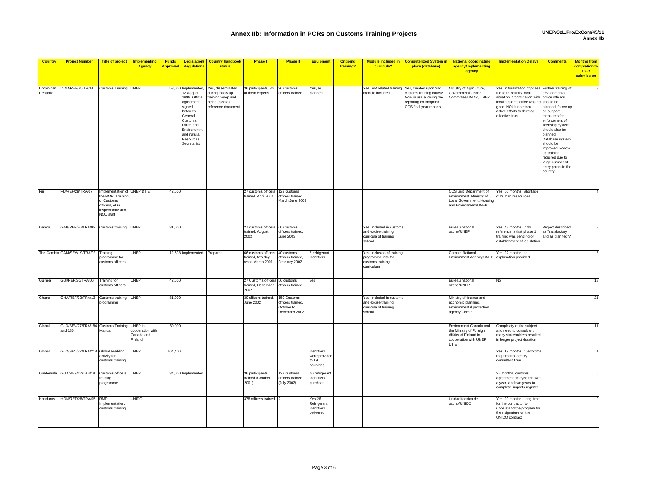**Implementation Delays Comments Months from** 

**Legislation/** 

| <b>Country</b>        | <b>Project Number</b>                                  | <b>Title of project</b>                                                                                        | <b>Implementing</b><br><b>Agency</b>      | <b>Funds</b><br><b>Approved</b> | Legislation/<br>Regulations                                                                                                                                                | <b>Country handbook</b><br>status                                                                 | <b>Phase</b>                                                | <b>Phase II</b>                                                 | <b>Equipment</b>                                           | Ongoing<br>training? | <b>Module included in</b><br>curricula?                                            | <b>Computerized System in</b><br>place (database)                                                                                | <b>National coordinating</b><br>agency/implementing<br>agency                                                      | <b>Implementation Delays</b>                                                                                                                                                                               | <b>Comments</b>                                                                                                                                                                                                                                                                                                           | <b>Months from</b><br>completion to<br><b>PCR</b><br>submission |
|-----------------------|--------------------------------------------------------|----------------------------------------------------------------------------------------------------------------|-------------------------------------------|---------------------------------|----------------------------------------------------------------------------------------------------------------------------------------------------------------------------|---------------------------------------------------------------------------------------------------|-------------------------------------------------------------|-----------------------------------------------------------------|------------------------------------------------------------|----------------------|------------------------------------------------------------------------------------|----------------------------------------------------------------------------------------------------------------------------------|--------------------------------------------------------------------------------------------------------------------|------------------------------------------------------------------------------------------------------------------------------------------------------------------------------------------------------------|---------------------------------------------------------------------------------------------------------------------------------------------------------------------------------------------------------------------------------------------------------------------------------------------------------------------------|-----------------------------------------------------------------|
|                       |                                                        |                                                                                                                |                                           |                                 |                                                                                                                                                                            |                                                                                                   |                                                             |                                                                 |                                                            |                      |                                                                                    |                                                                                                                                  |                                                                                                                    |                                                                                                                                                                                                            |                                                                                                                                                                                                                                                                                                                           |                                                                 |
| Dominican<br>Republic | DOM/REF/25/TR/14                                       | <b>Customs Training</b>                                                                                        | <b>UNEP</b>                               | 53,000                          | Implemented<br>12 August<br>1999. Official<br>agreement<br>signed<br>between<br>General<br>Customs<br>Office and<br>Environemnt<br>and natural<br>Resources<br>Secretariat | Yes, disseminated<br>during follow up<br>training wsop and<br>being used as<br>reference document | 36 participants, 30<br>of them experts                      | 96 Customs<br>officers trained                                  | res, as<br>planned                                         |                      | Yes, MP related training<br>nodule included                                        | Yes, created upon 2nd<br>customs training course.<br>Now in use allowing the<br>reporting on imoprted<br>ODS final year reports. | Ministry of Agriculture,<br>Governmetal Ozone<br>Committee/UNDP, UNEP                                              | Yes, in finalization of phase<br>Il due to country local<br>situation. Coordination with<br>local customs office was not should be<br>good. NOU undertook<br>active efforts to develop<br>effective links. | Further training o<br>nvironmental<br>police officers<br>planned, follow up<br>on support<br>measures for<br>enforcement of<br>licensing system<br>should also be<br>planned.<br>Database systen<br>should be<br>improved, Follow<br>up training<br>required due to<br>large number of<br>entry points in the<br>country. |                                                                 |
| Fiji                  | FIJ/REF/29/TRA/07                                      | Implementation of UNEP DTIE<br>he RMP: Training<br>of Customs<br>officers, oDS<br>nspectorate and<br>NOU staff |                                           | 42,500                          |                                                                                                                                                                            |                                                                                                   | 27 customs officers<br>trained. April 2001                  | 122 customs<br>officers trained<br>March June 2002              |                                                            |                      |                                                                                    |                                                                                                                                  | ODS unit, Department of<br>Environment, Ministry of<br>Local Government, Housing<br>and Environment/UNEP           | Yes, 56 months. Shortage<br>of human ressources                                                                                                                                                            |                                                                                                                                                                                                                                                                                                                           |                                                                 |
| Gabon                 | GAB/REF/26/TRA/05 Customs training UNEP                |                                                                                                                |                                           | 31,000                          |                                                                                                                                                                            |                                                                                                   | 27 customs officers<br>trained, August<br>2002              | 60 Customs<br>officers trained,<br>June 2003                    |                                                            |                      | Yes, included in customs<br>and excise training<br>curricula of training<br>school |                                                                                                                                  | Bureau national<br>ozone/UNEP                                                                                      | Yes, 43 months. Only<br>reference is that phase 1<br>training was pending on<br>establishment of legislation                                                                                               | Project described<br>as "satisfactory<br>and as planned"?                                                                                                                                                                                                                                                                 |                                                                 |
|                       | The Gambia GAM/SEV/19/TRA/03 Training                  | rogramme for<br>ustoms officers                                                                                | UNEP                                      |                                 | 12,598 Implemented Prepared                                                                                                                                                |                                                                                                   | 66 customs officers<br>trained, two day<br>wsop March 2001  | 40 customs<br>fficers trained,<br>February 2002                 | 5 refrigerant<br>dentifiers                                |                      | Yes, inclusion of training<br>programme into the<br>customs training<br>curriculum |                                                                                                                                  | Gambia National<br>Environment Agency/UNEP                                                                         | Yes, 22 months, no<br>explanation provided                                                                                                                                                                 |                                                                                                                                                                                                                                                                                                                           |                                                                 |
| Guinea                | GUI/REF/30/TRA/06                                      | Training for<br>customs officers                                                                               | UNEP                                      | 42,500                          |                                                                                                                                                                            |                                                                                                   | 27 Customs officers 56 customs<br>trained, December<br>2002 | officers trained                                                | yes                                                        |                      |                                                                                    |                                                                                                                                  | Bureau national<br>ozone/UNEP                                                                                      | No                                                                                                                                                                                                         |                                                                                                                                                                                                                                                                                                                           | 18                                                              |
| Ghana                 | GHA/REF/32/TRA/13 Customs training UNEP                | programme                                                                                                      |                                           | 81,000                          |                                                                                                                                                                            |                                                                                                   | 30 officers trained,<br>June 2002                           | 150 Customs<br>officers trained,<br>October to<br>December 2002 |                                                            |                      | Yes, included in custom<br>and excise training<br>curricula of training<br>school  |                                                                                                                                  | Ministry of finance and<br>economic planning,<br>Environmental protection<br>agency/UNEP                           |                                                                                                                                                                                                            |                                                                                                                                                                                                                                                                                                                           | 21                                                              |
| Global                | GLO/SEV/27/TRA/184 Customs Training UNEP in<br>and 180 | Manual                                                                                                         | cooperation with<br>Canada and<br>Finland | 60,000                          |                                                                                                                                                                            |                                                                                                   |                                                             |                                                                 |                                                            |                      |                                                                                    |                                                                                                                                  | Environment Canada and<br>the Ministry of Foreign<br>Affairs of Finland in<br>cooperation with UNEP<br><b>DTIE</b> | Complexity of the subject<br>and need to consult with<br>many stakeholders resulted<br>in longer project duration                                                                                          |                                                                                                                                                                                                                                                                                                                           |                                                                 |
| Global                | GLO/SEV/32/TRA/218 Global enabling                     | activity for<br>ustoms training                                                                                | UNEP                                      | 164,400                         |                                                                                                                                                                            |                                                                                                   |                                                             |                                                                 | identifiers<br>were provide<br>to 19<br>countries          |                      |                                                                                    |                                                                                                                                  |                                                                                                                    | Yes, 19 months, due to time<br>requitred to identify<br>consultant firms                                                                                                                                   |                                                                                                                                                                                                                                                                                                                           |                                                                 |
|                       | Guatemala GUA/REF/27/TAS/18 Customs officers           | raining<br>rogramme                                                                                            | <b>UNEP</b>                               |                                 | 34,000 Implemented                                                                                                                                                         |                                                                                                   | 36 participants<br>trained (October<br>2001)                | 122 customs<br>officers trained<br><b>July 2002)</b>            | 16 refrigerant<br>identifiers<br>purchsed                  |                      |                                                                                    |                                                                                                                                  |                                                                                                                    | 25 months, customs<br>agreement delayed for over<br>a year, and two years to<br>complete imports register                                                                                                  |                                                                                                                                                                                                                                                                                                                           |                                                                 |
| Honduras              | HON/REF/28/TRA/05                                      | <b>RMP</b><br>Implementation:<br>customs training                                                              | UNIDO                                     |                                 |                                                                                                                                                                            |                                                                                                   | 378 officers trained                                        |                                                                 | Yes $26$<br>Refrigerant<br><i>identifiers</i><br>delivered |                      |                                                                                    |                                                                                                                                  | Unidad tecnica de<br>ozono/UNIDO                                                                                   | Yes, 29 months. Long time<br>for the contractor to<br>understand the program for<br>their signature on the<br>UNIDO contract                                                                               |                                                                                                                                                                                                                                                                                                                           |                                                                 |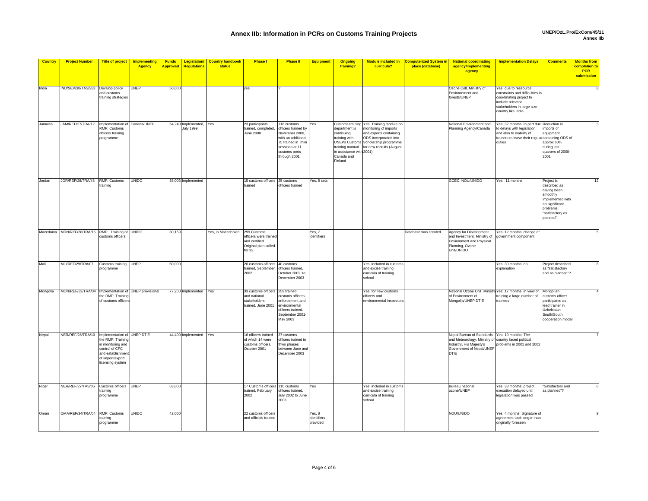| <b>Country</b> | <b>Project Number</b>                               | Title of project   Implementing                                                                                      | <b>Agency</b>    | <b>Funds</b><br><b>Approved</b> | <b>Regulations</b>                          | <b>Legislation/ Country handbook</b><br>status | <b>Phase I</b>                                                                            | <b>Phase II</b>                                                                                                                                     | <b>Equipment</b>                  | <b>Ongoing</b><br>training?                                                                                    | <b>Module included in</b><br>curricula?                                                                                                                                                                 | <b>Computerized System in</b><br>place (database) | <b>National coordinating</b><br>agency/implementing<br>agency                                                                                    | <b>Implementation Delays</b>                                                                                                                                     | <b>Comments</b>                                                                                                                          | <b>Months from</b><br><mark>completion to</mark><br><b>PCR</b><br>submission |
|----------------|-----------------------------------------------------|----------------------------------------------------------------------------------------------------------------------|------------------|---------------------------------|---------------------------------------------|------------------------------------------------|-------------------------------------------------------------------------------------------|-----------------------------------------------------------------------------------------------------------------------------------------------------|-----------------------------------|----------------------------------------------------------------------------------------------------------------|---------------------------------------------------------------------------------------------------------------------------------------------------------------------------------------------------------|---------------------------------------------------|--------------------------------------------------------------------------------------------------------------------------------------------------|------------------------------------------------------------------------------------------------------------------------------------------------------------------|------------------------------------------------------------------------------------------------------------------------------------------|------------------------------------------------------------------------------|
| India          | IND/SEV/30/TAS/253 Develop policy                   | and customs<br>training strategies                                                                                   | <b>UNEP</b>      | 50,000                          |                                             |                                                | yes                                                                                       |                                                                                                                                                     |                                   |                                                                                                                |                                                                                                                                                                                                         |                                                   | Ozone Cell, Ministry of<br>Environement and<br>forests/UNEP                                                                                      | Yes, due to ressource<br>constraints and difficulties i<br>coordinating project to<br>nclude relevant<br>stakeholders in large size<br>country like India        |                                                                                                                                          |                                                                              |
| Jamaica        | JAM/REF/27/TRA/12                                   | Implementation of Canada/UNEP<br>RMP: Customs<br>officers training<br>programme                                      |                  |                                 | 54,240 Implemented, Yes<br><b>July 1999</b> |                                                | 23 participants<br>trained, completed,<br>June 2000                                       | 118 customs<br>officers trained by<br>November 2000,<br>with an additional<br>75 trained in mini<br>sessions at 11<br>customs ports<br>through 2001 | Yes                               | department is<br>continuing<br>training with<br>training manual<br>in assistance with<br>Canada and<br>Finland | Customs training Yes, Training module on<br>monitoring of imports<br>and exports containing<br>ODS incorporated into<br><b>UNEPs Customs Scholarship programme</b><br>for new recruits (August<br>2001) |                                                   | National Environment and<br>Planning Agency/Canada                                                                                               | Yes, 32 months. In part due Reduction in<br>to delays with legislation,<br>and also to inability of<br>trainers to leave their regula containing ODS o<br>duties | mports of<br>equipment<br>approx 60%<br>during last<br>quarters of 2000-<br>2001                                                         |                                                                              |
| Jordan         | JOR/REF/28/TRA/48 RMP: Customs                      | training                                                                                                             | UNIDO            |                                 | 38,003 Implemented                          |                                                | 15 customs officers 25 customs<br>trained                                                 | officers trained                                                                                                                                    | Yes, 8 sets                       |                                                                                                                |                                                                                                                                                                                                         |                                                   | GCEC, NOU/UNIDO                                                                                                                                  | Yes, 11 months                                                                                                                                                   | Project is<br>described as<br>having been<br>smoothly<br>implemented with<br>no significant<br>problems.<br>"satisfactory as<br>planned" | 12                                                                           |
|                | Macedonia MDN/REF/28/TRA/15 RMP: Training of UNIDO  | customs officers                                                                                                     |                  | 30,159                          |                                             | Yes, in Macedonian                             | 299 Customs<br>officers were trained<br>and certified.<br>Original plan called<br>for 32. |                                                                                                                                                     | Yes, 7<br>identifiers             |                                                                                                                |                                                                                                                                                                                                         | Database was created                              | Agency for Development<br>and Investment, Ministry of<br>Environment and Physical<br>Planning, Ozone<br>Unit/UNIDO                               | Yes, 12 months, change of<br>government component                                                                                                                |                                                                                                                                          |                                                                              |
| Mali           | MLI/REF/29/TRA/07                                   | Customs training UNEP<br>programme                                                                                   |                  | 60,000                          |                                             |                                                | 20 customs officers 40 customs<br>trained, September<br>2002                              | officers trained,<br>October 2002 to<br>December 2003                                                                                               |                                   |                                                                                                                | Yes, included in customs<br>and excise training<br>curricula of training<br>school                                                                                                                      |                                                   |                                                                                                                                                  | Yes, 30 months, no<br>explanation                                                                                                                                | Project described<br>as "satisfactory<br>and as planned"?                                                                                |                                                                              |
| Mongolia       | MON/REF/32/TRA/04 Implementation of UNEP provisiona | he RMP: Training<br>of customs officer                                                                               |                  |                                 | 77,200 Implemented Yes                      |                                                | 33 customs officers 259 trained<br>and national<br>stakeholders<br>trained. June 2001     | customs officers<br>enforcement and<br>environmental<br>officers trained.<br>September 2001-<br>May 2003                                            |                                   |                                                                                                                | Yes, for new customs<br>officers and<br>environmental inspectors                                                                                                                                        |                                                   | National Ozone Unit, Ministry Yes, 17 months, in view of<br>of Environment of<br>Mongolia/UNEP DTIE                                              | training a large number of<br>rainees                                                                                                                            | Mongolian<br>customs officer<br>participated as<br>lead trainer in<br>Uzbekistan.<br>South/South<br>cooperation mode                     |                                                                              |
| Nepal          | NER/REF/28/TRA/10 Implementation of                 | the RMP: Training<br>in monitoring and<br>control of CFC<br>and establishmen<br>of import/export<br>licensing system | <b>UNEP DTIE</b> |                                 | 44,400 Implemented                          | Yes                                            | 16 officers trained<br>of which 14 were<br>customs officers.<br>October 2001              | 37 customs<br>officers trained in<br>thwo phases<br>between June and<br>December 2003                                                               |                                   |                                                                                                                |                                                                                                                                                                                                         |                                                   | Nepal Bureau of Standards<br>and Meteorology, Ministry of country faced political<br>Industry, His Majesty's<br>Government of Nepal/UNEF<br>DTIE | Yes, 19 months. The<br>problems in 2001 and 2002                                                                                                                 |                                                                                                                                          |                                                                              |
| Niger          | NER/REF/27/TAS/05 Customs officers UNEP             | raining<br>programme                                                                                                 |                  | 63,000                          |                                             |                                                | 17 Customs officers<br>trained, February<br>2002                                          | 110 customs<br>officers trained,<br>July 2002 to June<br>2003                                                                                       | Yes                               |                                                                                                                | Yes, included in customs<br>and excise training<br>curricula of training<br>school                                                                                                                      |                                                   | Bureau national<br>ozone/UNEP                                                                                                                    | Yes, 38 months, project<br>execution delayed until<br>egislation was passed                                                                                      | 'Satisfactory and<br>as planned"?                                                                                                        |                                                                              |
| Oman           | OMA/REF/34/TRA/04 RMP: Customs                      | raining<br>programme                                                                                                 | UNIDO            | 42,000                          |                                             |                                                | 22 customs officers<br>and officials trained                                              |                                                                                                                                                     | Yes, 8<br>identifiers<br>provided |                                                                                                                |                                                                                                                                                                                                         |                                                   | NOU/UNIDO                                                                                                                                        | Yes, 4 months. Signature of<br>agreement took longer than<br>originally foreseen                                                                                 |                                                                                                                                          |                                                                              |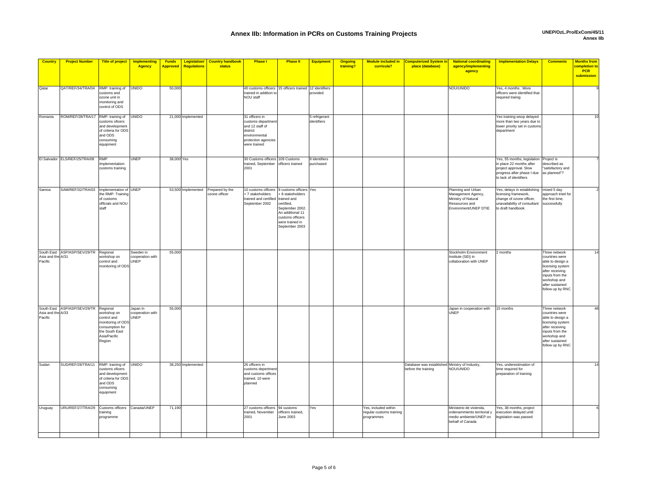| <b>Country</b>               | <b>Project Number</b>                    | <b>Title of project</b>                                                                                        | Implementing<br>Agency                | <b>Funds</b><br><b>Approved</b> | Legislation/<br><b>Regulations</b> | <b>Country handbook</b><br>status | <b>Phase I</b>                                                                                                             | <b>Phase II</b>                                                                                                                | <b>Equipment</b>             | <b>Ongoing</b><br>training? | <b>Module included in</b><br>curricula?                        | <b>Computerized System in</b><br>place (database)                     | <b>National coordinating</b><br>agency/implementing<br>agency                                              | <b>Implementation Delays</b>                                                                                                              | <b>Comments</b>                                                                                                                                                      | <b>Months from</b><br>completion to<br><b>PCR</b><br>submission |
|------------------------------|------------------------------------------|----------------------------------------------------------------------------------------------------------------|---------------------------------------|---------------------------------|------------------------------------|-----------------------------------|----------------------------------------------------------------------------------------------------------------------------|--------------------------------------------------------------------------------------------------------------------------------|------------------------------|-----------------------------|----------------------------------------------------------------|-----------------------------------------------------------------------|------------------------------------------------------------------------------------------------------------|-------------------------------------------------------------------------------------------------------------------------------------------|----------------------------------------------------------------------------------------------------------------------------------------------------------------------|-----------------------------------------------------------------|
| Qatar                        | QAT/REF/34/TRA/04 RMP: training of       | customs and<br>ozone unit in<br>nonitoring and<br>control of ODS                                               | <b>UNIDO</b>                          | 50,000                          |                                    |                                   | 40 customs officers 15 officers trained 12 identifiers<br>trained in addition to<br>NOU staff                              |                                                                                                                                | provided                     |                             |                                                                |                                                                       | NOU/UNIDO                                                                                                  | Yes, 4 months . More<br>officers were identified that<br>required trainig                                                                 |                                                                                                                                                                      |                                                                 |
| Romania                      | ROM/REF/28/TRA/17 RMP: training of       | customs oficers<br>and development<br>of criteria for ODS<br>and ODS<br>consuming<br>equipment                 | <b>UNIDO</b>                          |                                 | 21,000 implemented                 |                                   | 31 officers in<br>customs departmen<br>and 12 staff of<br>district<br>environmental<br>protection agencies<br>vere trained |                                                                                                                                | 5 refrigerant<br>identifiers |                             |                                                                |                                                                       |                                                                                                            | Yes training wsop delayed<br>more than two years due to<br>lower priority set in customs<br>department                                    |                                                                                                                                                                      | 10                                                              |
|                              | El Salvador ELS/REF/25/TRA/08            | <b>RMP</b><br>mplementation:<br>customs training                                                               | UNEP                                  | 38,000 Yes                      |                                    |                                   | 30 Customs officers 109 Customs<br>trained, September officers trained<br>2001                                             |                                                                                                                                | 8 identifiers<br>purchased   |                             |                                                                |                                                                       |                                                                                                            | Yes, 55 months, legislation<br>in place 22 months after<br>project approval. Slow<br>progress after phase I due<br>to lack of identifiers | Project is<br>described as<br>'satisfactory and<br>as planned"?                                                                                                      |                                                                 |
| Samoa                        | SAM/REF/32/TRA/03 Implementation of UNEP | he RMP: Training<br>of customs<br>officials and NOU<br>staff                                                   |                                       |                                 | 53,500 Implemented                 | Prepared by the<br>ozone officer  | 10 customs officers 9 customs officers Yes<br>7 stakeholders<br>trained and certified trained and<br>September 2002        | + 8 stakeholders<br>certified,<br>September 2002.<br>An additional 11<br>customs officers<br>were trained in<br>September 2003 |                              |                             |                                                                |                                                                       | Planning and Urban<br>Management Agency,<br>Ministry of Natural<br>Ressources and<br>Environment/UNEP DTIE | Yes, delays in establishing<br>icensing framework,<br>change of ozone officer,<br>unavailability of consultant<br>to draft handbook       | mixed 5 day<br>approach tried for<br>the first time,<br>successfully                                                                                                 |                                                                 |
| Asia and the A/31<br>Pacific | South East ASP/ASP/SEV/29/TR Regional    | workshop on<br>control and<br>monitoring of ODS                                                                | Sweden in<br>cooperation with<br>UNEP | 55,000                          |                                    |                                   |                                                                                                                            |                                                                                                                                |                              |                             |                                                                |                                                                       | Stockholm Environment<br>Institute (SEI) in<br>collaboration with UNEP                                     | 2 months                                                                                                                                  | Three network<br>countries were<br>able to design a<br>licensing system<br>after receiving<br>inputs from the<br>workshop and<br>after sustained<br>follow up by RNC | 14                                                              |
| Asia and the A/33<br>Pacific | South East ASP/ASP/SEV/29/TR Regional    | workshop on<br>control and<br>monitoring of ODS<br>consumption for<br>the South East<br>Asia/Pacific<br>Region | Japan in<br>cooperation with<br>UNEP  | 55,000                          |                                    |                                   |                                                                                                                            |                                                                                                                                |                              |                             |                                                                |                                                                       | Japan in cooperation with<br>UNEP                                                                          | 15 months                                                                                                                                 | Three network<br>countries were<br>able to design a<br>licensing system<br>after receiving<br>inputs from the<br>workshop and<br>after sustained<br>follow up by RNC | 48                                                              |
| Sudan                        | SUD/REF/28/TRA/11 RMP: training of UNIDO | customs oficers<br>and development<br>of criteria for ODS<br>and ODS<br>consuming<br>equipment                 |                                       |                                 | 38,250 Implemented                 |                                   | 26 officers in<br>customs depertmen<br>and customs offices<br>trained. 10 were<br>planned                                  |                                                                                                                                |                              |                             |                                                                | Database was established Ministry of Industry,<br>before the training | NOU/UNIDO                                                                                                  | Yes, underestimation of<br>time required for<br>preparation of training                                                                   |                                                                                                                                                                      |                                                                 |
| Uruguay                      | URU/REF/27/TRA/29 Customs officers       | raining<br>programme                                                                                           | Canada/UNEP                           | 71,190                          |                                    |                                   | 27 customs officers 94 customs<br>trained, November<br>2001                                                                | officers trained,<br>June 2003                                                                                                 | Yes                          |                             | Yes, included within<br>regular customs training<br>programmes |                                                                       | Ministerio de vivienda,<br>ordenammiento territorial y<br>medio ambiente/UNEP on<br>behalf of Canada       | Yes, 38 months, project<br>execution delayed until<br>egislation was passed                                                               |                                                                                                                                                                      |                                                                 |